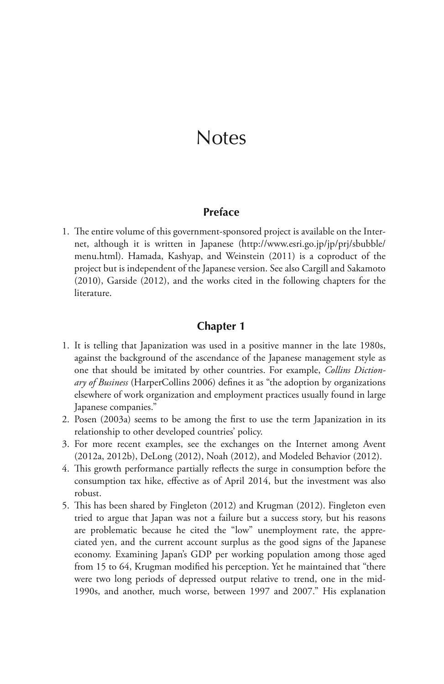## **Notes**

#### **Preface**

 1. The entire volume of this government-sponsored project is available on the Internet, although it is written in Japanese (http://www.esri.go.jp/jp/prj/sbubble/ menu.html). Hamada, Kashyap, and Weinstein (2011) is a coproduct of the project but is independent of the Japanese version. See also Cargill and Sakamoto (2010), Garside (2012), and the works cited in the following chapters for the literature.

#### **Chapter 1**

- 1. It is telling that Japanization was used in a positive manner in the late 1980s, against the background of the ascendance of the Japanese management style as one that should be imitated by other countries. For example, *Collins Dictionary of Business* (HarperCollins 2006) defines it as "the adoption by organizations elsewhere of work organization and employment practices usually found in large Japanese companies."
- 2. Posen (2003a) seems to be among the first to use the term Japanization in its relationship to other developed countries' policy.
- 3. For more recent examples, see the exchanges on the Internet among Avent (2012a, 2012b), DeLong (2012), Noah (2012), and Modeled Behavior (2012).
- 4. This growth performance partially reflects the surge in consumption before the consumption tax hike, effective as of April 2014, but the investment was also robust.
- 5. This has been shared by Fingleton (2012) and Krugman (2012). Fingleton even tried to argue that Japan was not a failure but a success story, but his reasons are problematic because he cited the "low" unemployment rate, the appreciated yen, and the current account surplus as the good signs of the Japanese economy. Examining Japan's GDP per working population among those aged from 15 to 64, Krugman modified his perception. Yet he maintained that "there were two long periods of depressed output relative to trend, one in the mid-1990s, and another, much worse, between 1997 and 2007." His explanation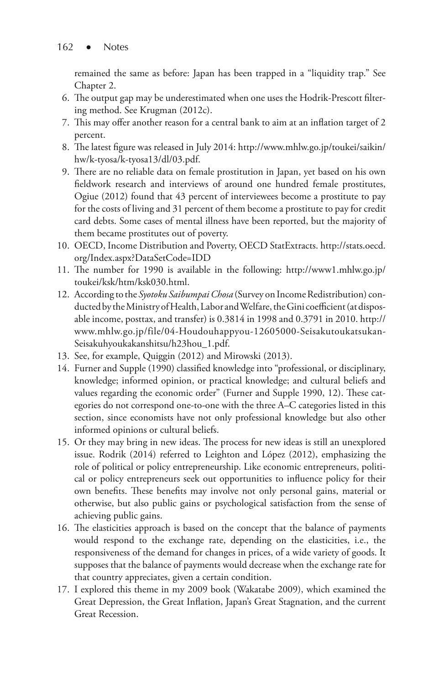remained the same as before: Japan has been trapped in a "liquidity trap." See Chapter 2.

- 6. The output gap may be underestimated when one uses the Hodrik-Prescott filtering method. See Krugman (2012c).
- 7. This may offer another reason for a central bank to aim at an inflation target of 2 percent.
- 8. The latest figure was released in July 2014: http://www.mhlw.go.jp/toukei/saikin/ hw/k-tyosa/k-tyosa13/dl/03.pdf.
- 9. There are no reliable data on female prostitution in Japan, yet based on his own fieldwork research and interviews of around one hundred female prostitutes, Ogiue (2012) found that 43 percent of interviewees become a prostitute to pay for the costs of living and 31 percent of them become a prostitute to pay for credit card debts. Some cases of mental illness have been reported, but the majority of them became prostitutes out of poverty.
- 10. OECD, Income Distribution and Poverty, OECD StatExtracts. http://stats.oecd. org/Index.aspx?DataSetCode=IDD
- 11. The number for 1990 is available in the following: http://www1.mhlw.go.jp/ toukei/ksk/htm/ksk030.html.
- 12. According to the *Syotoku Saibumpai Chosa* (Survey on Income Redistribution) conducted by the Ministry of Health, Labor and Welfare, the Gini coefficient (at disposable income, posttax, and transfer) is 0.3814 in 1998 and 0.3791 in 2010. http:// www.mhlw.go.jp/file/04-Houdouhappyou-12605000-Seisakutoukatsukan-Seisakuhyoukakanshitsu/h23hou\_1.pdf.
- 13. See, for example, Quiggin (2012) and Mirowski (2013).
- 14. Furner and Supple (1990) classified knowledge into "professional, or disciplinary, knowledge; informed opinion, or practical knowledge; and cultural beliefs and values regarding the economic order" (Furner and Supple 1990, 12). These categories do not correspond one-to-one with the three A–C categories listed in this section, since economists have not only professional knowledge but also other informed opinions or cultural beliefs.
- 15. Or they may bring in new ideas. The process for new ideas is still an unexplored issue. Rodrik (2014) referred to Leighton and López (2012), emphasizing the role of political or policy entrepreneurship. Like economic entrepreneurs, political or policy entrepreneurs seek out opportunities to influence policy for their own benefits. These benefits may involve not only personal gains, material or otherwise, but also public gains or psychological satisfaction from the sense of achieving public gains.
- 16. The elasticities approach is based on the concept that the balance of payments would respond to the exchange rate, depending on the elasticities, i.e., the responsiveness of the demand for changes in prices, of a wide variety of goods. It supposes that the balance of payments would decrease when the exchange rate for that country appreciates, given a certain condition.
- 17. I explored this theme in my 2009 book (Wakatabe 2009), which examined the Great Depression, the Great Inflation, Japan's Great Stagnation, and the current Great Recession.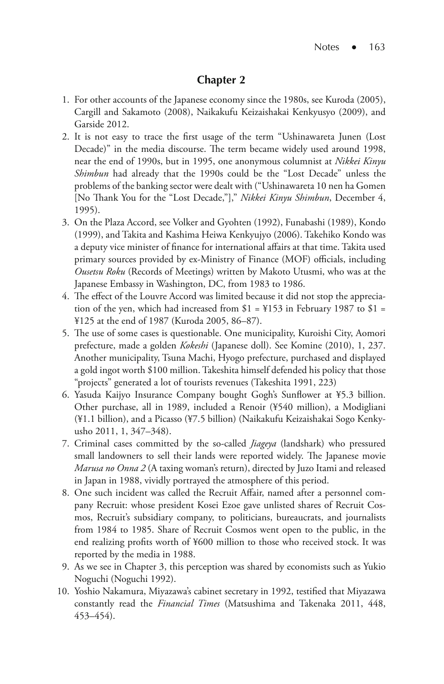## **Chapter 2**

- 1. For other accounts of the Japanese economy since the 1980s, see Kuroda (2005), Cargill and Sakamoto (2008), Naikakufu Keizaishakai Kenkyusyo (2009), and Garside 2012.
- 2. It is not easy to trace the first usage of the term "Ushinawareta Junen (Lost Decade)" in the media discourse. The term became widely used around 1998, near the end of 1990s, but in 1995, one anonymous columnist at *Nikkei Kinyu Shimbun* had already that the 1990s could be the "Lost Decade" unless the problems of the banking sector were dealt with ("Ushinawareta 10 nen ha Gomen [No Thank You for the "Lost Decade,"]," *Nikkei Kinyu Shimbun*, December 4, 1995).
- 3. On the Plaza Accord, see Volker and Gyohten (1992), Funabashi (1989), Kondo (1999), and Takita and Kashima Heiwa Kenkyujyo (2006). Takehiko Kondo was a deputy vice minister of finance for international affairs at that time. Takita used primary sources provided by ex-Ministry of Finance (MOF) officials, including *Ousetsu Roku* (Records of Meetings) written by Makoto Utusmi, who was at the Japanese Embassy in Washington, DC, from 1983 to 1986.
- 4. The effect of the Louvre Accord was limited because it did not stop the appreciation of the yen, which had increased from  $$1 = $153$  in February 1987 to  $$1 =$ ¥125 at the end of 1987 (Kuroda 2005, 86–87).
- 5. The use of some cases is questionable. One municipality, Kuroishi City, Aomori prefecture, made a golden *Kokeshi* (Japanese doll). See Komine (2010), 1, 237. Another municipality, Tsuna Machi, Hyogo prefecture, purchased and displayed a gold ingot worth \$100 million. Takeshita himself defended his policy that those "projects" generated a lot of tourists revenues (Takeshita 1991, 223)
- 6. Yasuda Kaijyo Insurance Company bought Gogh's Sunflower at ¥5.3 billion. Other purchase, all in 1989, included a Renoir (¥540 million), a Modigliani (¥1.1 billion), and a Picasso (¥7.5 billion) (Naikakufu Keizaishakai Sogo Kenkyusho 2011, 1, 347–348).
- 7. Criminal cases committed by the so-called *Jiageya* (landshark) who pressured small landowners to sell their lands were reported widely. The Japanese movie *Marusa no Onna 2* (A taxing woman's return), directed by Juzo Itami and released in Japan in 1988, vividly portrayed the atmosphere of this period.
- 8. One such incident was called the Recruit Affair, named after a personnel company Recruit: whose president Kosei Ezoe gave unlisted shares of Recruit Cosmos, Recruit's subsidiary company, to politicians, bureaucrats, and journalists from 1984 to 1985. Share of Recruit Cosmos went open to the public, in the end realizing profits worth of ¥600 million to those who received stock. It was reported by the media in 1988.
- 9. As we see in Chapter 3, this perception was shared by economists such as Yukio Noguchi (Noguchi 1992).
- 10. Yoshio Nakamura, Miyazawa's cabinet secretary in 1992, testified that Miyazawa constantly read the *Financial Times* (Matsushima and Takenaka 2011, 448, 453–454).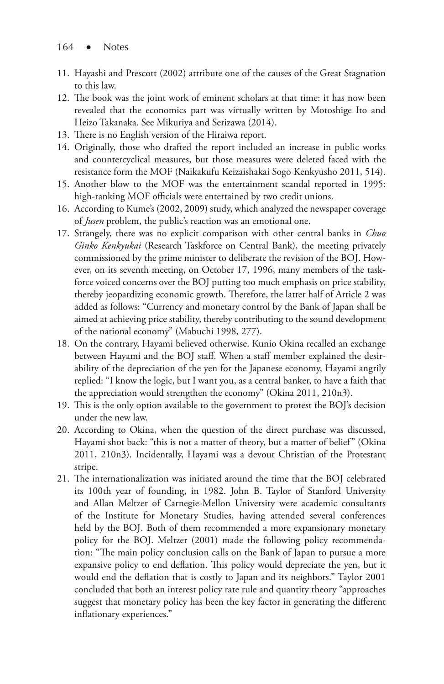- 11. Hayashi and Prescott (2002) attribute one of the causes of the Great Stagnation to this law.
- 12. The book was the joint work of eminent scholars at that time: it has now been revealed that the economics part was virtually written by Motoshige Ito and Heizo Takanaka. See Mikuriya and Serizawa (2014).
- 13. There is no English version of the Hiraiwa report.
- 14. Originally, those who drafted the report included an increase in public works and countercyclical measures, but those measures were deleted faced with the resistance form the MOF (Naikakufu Keizaishakai Sogo Kenkyusho 2011, 514).
- 15. Another blow to the MOF was the entertainment scandal reported in 1995: high-ranking MOF officials were entertained by two credit unions.
- 16. According to Kume's (2002, 2009) study, which analyzed the newspaper coverage of *Jusen* problem, the public's reaction was an emotional one.
- 17. Strangely, there was no explicit comparison with other central banks in *Chuo Ginko Kenkyukai* (Research Taskforce on Central Bank), the meeting privately commissioned by the prime minister to deliberate the revision of the BOJ. However, on its seventh meeting, on October 17, 1996, many members of the taskforce voiced concerns over the BOJ putting too much emphasis on price stability, thereby jeopardizing economic growth. Therefore, the latter half of Article 2 was added as follows: "Currency and monetary control by the Bank of Japan shall be aimed at achieving price stability, thereby contributing to the sound development of the national economy" (Mabuchi 1998, 277).
- 18. On the contrary, Hayami believed otherwise. Kunio Okina recalled an exchange between Hayami and the BOJ staff. When a staff member explained the desirability of the depreciation of the yen for the Japanese economy, Hayami angrily replied: "I know the logic, but I want you, as a central banker, to have a faith that the appreciation would strengthen the economy" (Okina 2011, 210n3).
- 19. This is the only option available to the government to protest the BOJ's decision under the new law.
- 20. According to Okina, when the question of the direct purchase was discussed, Hayami shot back: "this is not a matter of theory, but a matter of belief" (Okina 2011, 210n3). Incidentally, Hayami was a devout Christian of the Protestant stripe.
- 21. The internationalization was initiated around the time that the BOJ celebrated its 100th year of founding, in 1982. John B. Taylor of Stanford University and Allan Meltzer of Carnegie-Mellon University were academic consultants of the Institute for Monetary Studies, having attended several conferences held by the BOJ. Both of them recommended a more expansionary monetary policy for the BOJ. Meltzer (2001) made the following policy recommendation: "The main policy conclusion calls on the Bank of Japan to pursue a more expansive policy to end deflation. This policy would depreciate the yen, but it would end the deflation that is costly to Japan and its neighbors." Taylor 2001 concluded that both an interest policy rate rule and quantity theory "approaches suggest that monetary policy has been the key factor in generating the different inflationary experiences."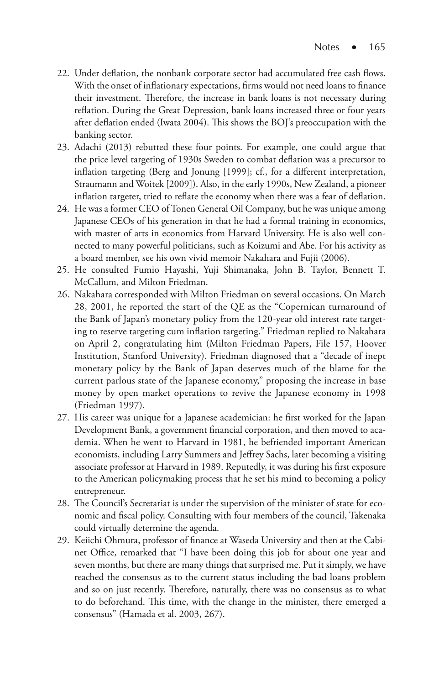- 22. Under deflation, the nonbank corporate sector had accumulated free cash flows. With the onset of inflationary expectations, firms would not need loans to finance their investment. Therefore, the increase in bank loans is not necessary during reflation. During the Great Depression, bank loans increased three or four years after deflation ended (Iwata 2004). This shows the BOJ's preoccupation with the banking sector.
- 23. Adachi (2013) rebutted these four points. For example, one could argue that the price level targeting of 1930s Sweden to combat deflation was a precursor to inflation targeting (Berg and Jonung [1999]; cf., for a different interpretation, Straumann and Woitek [2009]). Also, in the early 1990s, New Zealand, a pioneer inflation targeter, tried to reflate the economy when there was a fear of deflation.
- 24. He was a former CEO of Tonen General Oil Company, but he was unique among Japanese CEOs of his generation in that he had a formal training in economics, with master of arts in economics from Harvard University. He is also well connected to many powerful politicians, such as Koizumi and Abe. For his activity as a board member, see his own vivid memoir Nakahara and Fujii (2006).
- 25. He consulted Fumio Hayashi, Yuji Shimanaka, John B. Taylor, Bennett T. McCallum, and Milton Friedman.
- 26. Nakahara corresponded with Milton Friedman on several occasions. On March 28, 2001, he reported the start of the QE as the "Copernican turnaround of the Bank of Japan's monetary policy from the 120-year old interest rate targeting to reserve targeting cum inflation targeting." Friedman replied to Nakahara on April 2, congratulating him (Milton Friedman Papers, File 157, Hoover Institution, Stanford University). Friedman diagnosed that a "decade of inept monetary policy by the Bank of Japan deserves much of the blame for the current parlous state of the Japanese economy," proposing the increase in base money by open market operations to revive the Japanese economy in 1998 (Friedman 1997).
- 27. His career was unique for a Japanese academician: he first worked for the Japan Development Bank, a government financial corporation, and then moved to academia. When he went to Harvard in 1981, he befriended important American economists, including Larry Summers and Jeffrey Sachs, later becoming a visiting associate professor at Harvard in 1989. Reputedly, it was during his first exposure to the American policymaking process that he set his mind to becoming a policy entrepreneur.
- 28. The Council's Secretariat is under the supervision of the minister of state for economic and fiscal policy. Consulting with four members of the council, Takenaka could virtually determine the agenda.
- 29. Keiichi Ohmura, professor of finance at Waseda University and then at the Cabinet Office, remarked that "I have been doing this job for about one year and seven months, but there are many things that surprised me. Put it simply, we have reached the consensus as to the current status including the bad loans problem and so on just recently. Therefore, naturally, there was no consensus as to what to do beforehand. This time, with the change in the minister, there emerged a consensus" (Hamada et al. 2003, 267).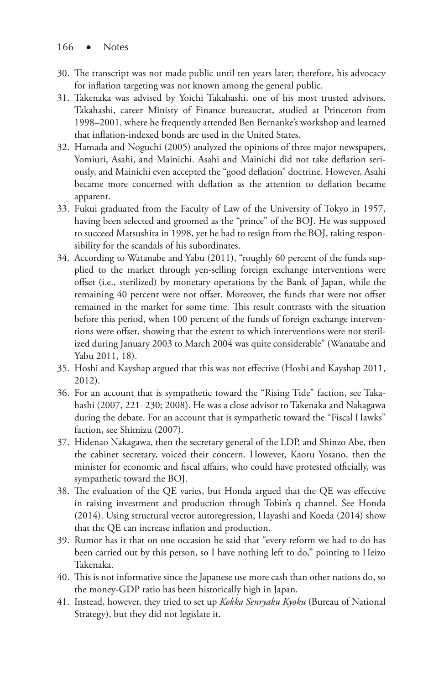- 30. The transcript was not made public until ten years later; therefore, his advocacy for inflation targeting was not known among the general public.
- 31. Takenaka was advised by Yoichi Takahashi, one of his most trusted advisors. Takahashi, career Ministy of Finance bureaucrat, studied at Princeton from 1998–2001, where he frequently attended Ben Bernanke's workshop and learned that inflation-indexed bonds are used in the United States.
- 32. Hamada and Noguchi (2005) analyzed the opinions of three major newspapers, Yomiuri, Asahi, and Mainichi. Asahi and Mainichi did not take deflation seriously, and Mainichi even accepted the "good deflation" doctrine. However, Asahi became more concerned with deflation as the attention to deflation became apparent.
- 33. Fukui graduated from the Faculty of Law of the University of Tokyo in 1957, having been selected and groomed as the "prince" of the BOJ. He was supposed to succeed Matsushita in 1998, yet he had to resign from the BOJ, taking responsibility for the scandals of his subordinates.
- 34. According to Watanabe and Yabu (2011), "roughly 60 percent of the funds supplied to the market through yen-selling foreign exchange interventions were offset (i.e., sterilized) by monetary operations by the Bank of Japan, while the remaining 40 percent were not offset. Moreover, the funds that were not offset remained in the market for some time. This result contrasts with the situation before this period, when 100 percent of the funds of foreign exchange interventions were offset, showing that the extent to which interventions were not sterilized during January 2003 to March 2004 was quite considerable" (Wanatabe and Yabu 2011, 18).
- 35. Hoshi and Kayshap argued that this was not effective (Hoshi and Kayshap 2011, 2012).
- 36. For an account that is sympathetic toward the "Rising Tide" faction, see Takahashi (2007, 221–230; 2008). He was a close advisor to Takenaka and Nakagawa during the debate. For an account that is sympathetic toward the "Fiscal Hawks" faction, see Shimizu (2007).
- 37. Hidenao Nakagawa, then the secretary general of the LDP, and Shinzo Abe, then the cabinet secretary, voiced their concern. However, Kaoru Yosano, then the minister for economic and fiscal affairs, who could have protested officially, was sympathetic toward the BOJ.
- 38. The evaluation of the QE varies, but Honda argued that the QE was effective in raising investment and production through Tobin's q channel. See Honda (2014). Using structural vector autoregression, Hayashi and Koeda (2014) show that the QE can increase inflation and production.
- 39. Rumor has it that on one occasion he said that "every reform we had to do has been carried out by this person, so I have nothing left to do," pointing to Heizo Takenaka.
- 40. This is not informative since the Japanese use more cash than other nations do, so the money-GDP ratio has been historically high in Japan.
- 41. Instead, however, they tried to set up *Kokka Senryaku Kyoku* (Bureau of National Strategy), but they did not legislate it.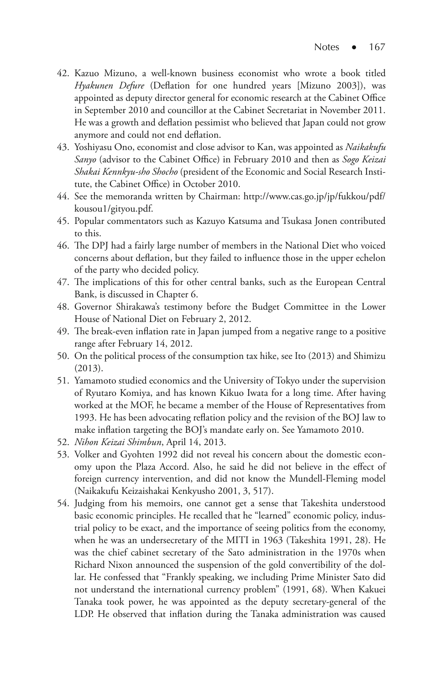- 42. Kazuo Mizuno, a well-known business economist who wrote a book titled *Hyakunen Defure* (Deflation for one hundred years [Mizuno 2003]), was appointed as deputy director general for economic research at the Cabinet Office in September 2010 and councillor at the Cabinet Secretariat in November 2011. He was a growth and deflation pessimist who believed that Japan could not grow anymore and could not end deflation.
- 43. Yoshiyasu Ono, economist and close advisor to Kan, was appointed as *Naikakufu Sanyo* (advisor to the Cabinet Office) in February 2010 and then as *Sogo Keizai Shakai Kennkyu-sho Shocho* (president of the Economic and Social Research Institute, the Cabinet Office) in October 2010.
- 44. See the memoranda written by Chairman: http://www.cas.go.jp/jp/fukkou/pdf/ kousou1/gityou.pdf.
- 45. Popular commentators such as Kazuyo Katsuma and Tsukasa Jonen contributed to this.
- 46. The DPJ had a fairly large number of members in the National Diet who voiced concerns about deflation, but they failed to influence those in the upper echelon of the party who decided policy.
- 47. The implications of this for other central banks, such as the European Central Bank, is discussed in Chapter 6.
- 48. Governor Shirakawa's testimony before the Budget Committee in the Lower House of National Diet on February 2, 2012.
- 49. The break-even inflation rate in Japan jumped from a negative range to a positive range after February 14, 2012.
- 50. On the political process of the consumption tax hike, see Ito (2013) and Shimizu (2013).
- 51. Yamamoto studied economics and the University of Tokyo under the supervision of Ryutaro Komiya, and has known Kikuo Iwata for a long time. After having worked at the MOF, he became a member of the House of Representatives from 1993. He has been advocating reflation policy and the revision of the BOJ law to make inflation targeting the BOJ's mandate early on. See Yamamoto 2010.
- 52. *Nihon Keizai Shimbun*, April 14, 2013.
- 53. Volker and Gyohten 1992 did not reveal his concern about the domestic economy upon the Plaza Accord. Also, he said he did not believe in the effect of foreign currency intervention, and did not know the Mundell-Fleming model (Naikakufu Keizaishakai Kenkyusho 2001, 3, 517).
- 54. Judging from his memoirs, one cannot get a sense that Takeshita understood basic economic principles. He recalled that he "learned" economic policy, industrial policy to be exact, and the importance of seeing politics from the economy, when he was an undersecretary of the MITI in 1963 (Takeshita 1991, 28). He was the chief cabinet secretary of the Sato administration in the 1970s when Richard Nixon announced the suspension of the gold convertibility of the dollar. He confessed that "Frankly speaking, we including Prime Minister Sato did not understand the international currency problem" (1991, 68). When Kakuei Tanaka took power, he was appointed as the deputy secretary-general of the LDP. He observed that inflation during the Tanaka administration was caused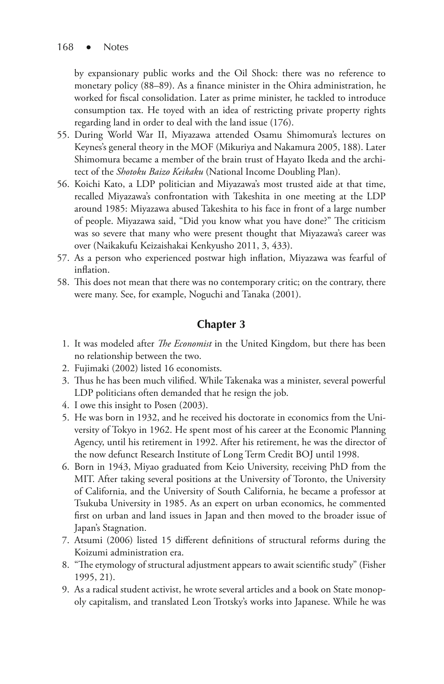by expansionary public works and the Oil Shock: there was no reference to monetary policy (88–89). As a finance minister in the Ohira administration, he worked for fiscal consolidation. Later as prime minister, he tackled to introduce consumption tax. He toyed with an idea of restricting private property rights regarding land in order to deal with the land issue (176).

- 55. During World War II, Miyazawa attended Osamu Shimomura's lectures on Keynes's general theory in the MOF (Mikuriya and Nakamura 2005, 188). Later Shimomura became a member of the brain trust of Hayato Ikeda and the architect of the *Shotoku Baizo Keikaku* (National Income Doubling Plan).
- 56. Koichi Kato, a LDP politician and Miyazawa's most trusted aide at that time, recalled Miyazawa's confrontation with Takeshita in one meeting at the LDP around 1985: Miyazawa abused Takeshita to his face in front of a large number of people. Miyazawa said, "Did you know what you have done?" The criticism was so severe that many who were present thought that Miyazawa's career was over (Naikakufu Keizaishakai Kenkyusho 2011, 3, 433).
- 57. As a person who experienced postwar high inflation, Miyazawa was fearful of inflation.
- 58. This does not mean that there was no contemporary critic; on the contrary, there were many. See, for example, Noguchi and Tanaka (2001).

## **Chapter 3**

- 1. It was modeled after *The Economist* in the United Kingdom, but there has been no relationship between the two.
- 2. Fujimaki (2002) listed 16 economists.
- 3. Thus he has been much vilified. While Takenaka was a minister, several powerful LDP politicians often demanded that he resign the job.
- 4. I owe this insight to Posen (2003).
- 5. He was born in 1932, and he received his doctorate in economics from the University of Tokyo in 1962. He spent most of his career at the Economic Planning Agency, until his retirement in 1992. After his retirement, he was the director of the now defunct Research Institute of Long Term Credit BOJ until 1998.
- 6. Born in 1943, Miyao graduated from Keio University, receiving PhD from the MIT. After taking several positions at the University of Toronto, the University of California, and the University of South California, he became a professor at Tsukuba University in 1985. As an expert on urban economics, he commented first on urban and land issues in Japan and then moved to the broader issue of Japan's Stagnation.
- 7. Atsumi (2006) listed 15 different definitions of structural reforms during the Koizumi administration era.
- 8. "The etymology of structural adjustment appears to await scientific study" (Fisher 1995, 21).
- 9. As a radical student activist, he wrote several articles and a book on State monopoly capitalism, and translated Leon Trotsky's works into Japanese. While he was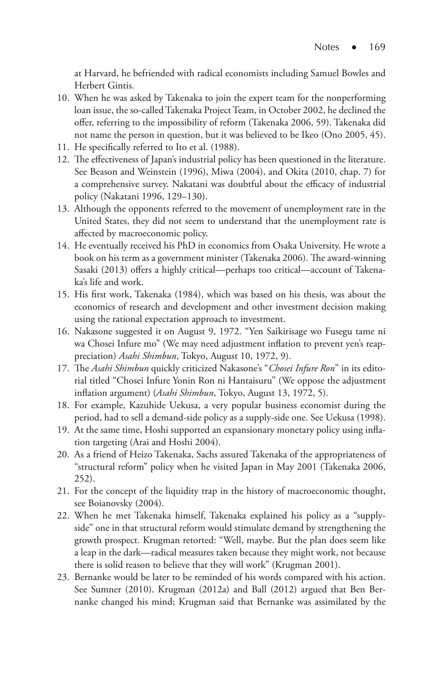at Harvard, he befriended with radical economists including Samuel Bowles and Herbert Gintis.

- 10. When he was asked by Takenaka to join the expert team for the nonperforming loan issue, the so-called Takenaka Project Team, in October 2002, he declined the offer, referring to the impossibility of reform (Takenaka 2006, 59). Takenaka did not name the person in question, but it was believed to be Ikeo (Ono 2005, 45).
- 11. He specifically referred to Ito et al. (1988).
- 12. The effectiveness of Japan's industrial policy has been questioned in the literature. See Beason and Weinstein (1996), Miwa (2004), and Okita (2010, chap. 7) for a comprehensive survey. Nakatani was doubtful about the efficacy of industrial policy (Nakatani 1996, 129–130).
- 13. Although the opponents referred to the movement of unemployment rate in the United States, they did not seem to understand that the unemployment rate is affected by macroeconomic policy.
- 14. He eventually received his PhD in economics from Osaka University. He wrote a book on his term as a government minister (Takenaka 2006). The award-winning Sasaki (2013) offers a highly critical—perhaps too critical—account of Takenaka's life and work.
- 15. His first work, Takenaka (1984), which was based on his thesis, was about the economics of research and development and other investment decision making using the rational expectation approach to investment.
- 16. Nakasone suggested it on August 9, 1972. "Yen Saikirisage wo Fusegu tame ni wa Chosei Infure mo" (We may need adjustment inflation to prevent yen's reappreciation) *Asahi Shimbun*, Tokyo, August 10, 1972, 9).
- 17. The *Asahi Shimbun* quickly criticized Nakasone's "*Chosei Infure Ron*" in its editorial titled "Chosei Infure Yonin Ron ni Hantaisuru" (We oppose the adjustment inflation argument) (*Asahi Shimbun*, Tokyo, August 13, 1972, 5).
- 18. For example, Kazuhide Uekusa, a very popular business economist during the period, had to sell a demand-side policy as a supply-side one. See Uekusa (1998).
- 19. At the same time, Hoshi supported an expansionary monetary policy using inflation targeting (Arai and Hoshi 2004).
- 20. As a friend of Heizo Takenaka, Sachs assured Takenaka of the appropriateness of "structural reform" policy when he visited Japan in May 2001 (Takenaka 2006, 252).
- 21. For the concept of the liquidity trap in the history of macroeconomic thought, see Boianovsky (2004).
- 22. When he met Takenaka himself, Takenaka explained his policy as a "supplyside" one in that structural reform would stimulate demand by strengthening the growth prospect. Krugman retorted: "Well, maybe. But the plan does seem like a leap in the dark—radical measures taken because they might work, not because there is solid reason to believe that they will work" (Krugman 2001).
- 23. Bernanke would be later to be reminded of his words compared with his action. See Sumner (2010). Krugman (2012a) and Ball (2012) argued that Ben Bernanke changed his mind; Krugman said that Bernanke was assimilated by the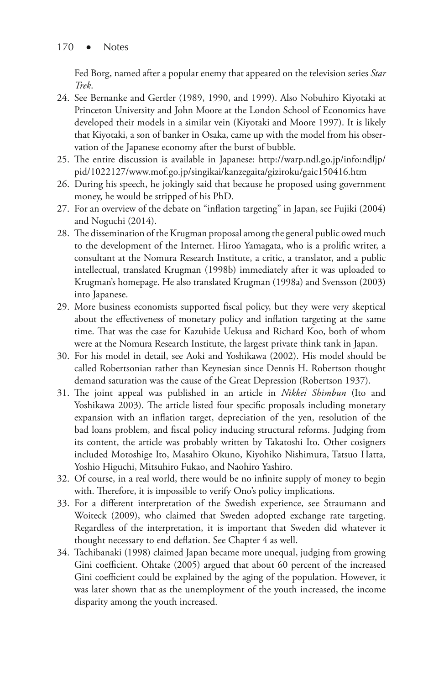Fed Borg, named after a popular enemy that appeared on the television series *Star Trek*.

- 24. See Bernanke and Gertler (1989, 1990, and 1999). Also Nobuhiro Kiyotaki at Princeton University and John Moore at the London School of Economics have developed their models in a similar vein (Kiyotaki and Moore 1997). It is likely that Kiyotaki, a son of banker in Osaka, came up with the model from his observation of the Japanese economy after the burst of bubble.
- 25. The entire discussion is available in Japanese: http://warp.ndl.go.jp/info:ndljp/ pid/1022127/www.mof.go.jp/singikai/kanzegaita/giziroku/gaic150416.htm
- 26. During his speech, he jokingly said that because he proposed using government money, he would be stripped of his PhD.
- 27. For an overview of the debate on "inflation targeting" in Japan, see Fujiki (2004) and Noguchi (2014).
- 28. The dissemination of the Krugman proposal among the general public owed much to the development of the Internet. Hiroo Yamagata, who is a prolific writer, a consultant at the Nomura Research Institute, a critic, a translator, and a public intellectual, translated Krugman (1998b) immediately after it was uploaded to Krugman's homepage. He also translated Krugman (1998a) and Svensson (2003) into Japanese.
- 29. More business economists supported fiscal policy, but they were very skeptical about the effectiveness of monetary policy and inflation targeting at the same time. That was the case for Kazuhide Uekusa and Richard Koo, both of whom were at the Nomura Research Institute, the largest private think tank in Japan.
- 30. For his model in detail, see Aoki and Yoshikawa (2002). His model should be called Robertsonian rather than Keynesian since Dennis H. Robertson thought demand saturation was the cause of the Great Depression (Robertson 1937).
- 31. The joint appeal was published in an article in *Nikkei Shimbun* (Ito and Yoshikawa 2003). The article listed four specific proposals including monetary expansion with an inflation target, depreciation of the yen, resolution of the bad loans problem, and fiscal policy inducing structural reforms. Judging from its content, the article was probably written by Takatoshi Ito. Other cosigners included Motoshige Ito, Masahiro Okuno, Kiyohiko Nishimura, Tatsuo Hatta, Yoshio Higuchi, Mitsuhiro Fukao, and Naohiro Yashiro.
- 32. Of course, in a real world, there would be no infinite supply of money to begin with. Therefore, it is impossible to verify Ono's policy implications.
- 33. For a different interpretation of the Swedish experience, see Straumann and Woiteck (2009), who claimed that Sweden adopted exchange rate targeting. Regardless of the interpretation, it is important that Sweden did whatever it thought necessary to end deflation. See Chapter 4 as well.
- 34. Tachibanaki (1998) claimed Japan became more unequal, judging from growing Gini coefficient. Ohtake (2005) argued that about 60 percent of the increased Gini coefficient could be explained by the aging of the population. However, it was later shown that as the unemployment of the youth increased, the income disparity among the youth increased.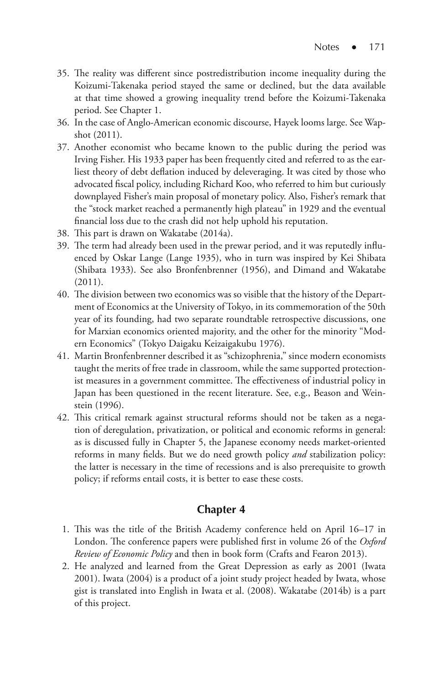- 35. The reality was different since postredistribution income inequality during the Koizumi-Takenaka period stayed the same or declined, but the data available at that time showed a growing inequality trend before the Koizumi-Takenaka period. See Chapter 1.
- 36. In the case of Anglo-American economic discourse, Hayek looms large. See Wapshot (2011).
- 37. Another economist who became known to the public during the period was Irving Fisher. His 1933 paper has been frequently cited and referred to as the earliest theory of debt deflation induced by deleveraging. It was cited by those who advocated fiscal policy, including Richard Koo, who referred to him but curiously downplayed Fisher's main proposal of monetary policy. Also, Fisher's remark that the "stock market reached a permanently high plateau" in 1929 and the eventual financial loss due to the crash did not help uphold his reputation.
- 38. This part is drawn on Wakatabe (2014a).
- 39. The term had already been used in the prewar period, and it was reputedly influenced by Oskar Lange (Lange 1935), who in turn was inspired by Kei Shibata (Shibata 1933). See also Bronfenbrenner (1956), and Dimand and Wakatabe (2011).
- 40. The division between two economics was so visible that the history of the Department of Economics at the University of Tokyo, in its commemoration of the 50th year of its founding, had two separate roundtable retrospective discussions, one for Marxian economics oriented majority, and the other for the minority "Modern Economics" (Tokyo Daigaku Keizaigakubu 1976).
- 41. Martin Bronfenbrenner described it as "schizophrenia," since modern economists taught the merits of free trade in classroom, while the same supported protectionist measures in a government committee. The effectiveness of industrial policy in Japan has been questioned in the recent literature. See, e.g., Beason and Weinstein (1996).
- 42. This critical remark against structural reforms should not be taken as a negation of deregulation, privatization, or political and economic reforms in general: as is discussed fully in Chapter 5, the Japanese economy needs market-oriented reforms in many fields. But we do need growth policy *and* stabilization policy: the latter is necessary in the time of recessions and is also prerequisite to growth policy; if reforms entail costs, it is better to ease these costs.

#### **Chapter 4**

- 1. This was the title of the British Academy conference held on April 16–17 in London. The conference papers were published first in volume 26 of the *Oxford Review of Economic Policy* and then in book form (Crafts and Fearon 2013).
- 2. He analyzed and learned from the Great Depression as early as 2001 (Iwata 2001). Iwata (2004) is a product of a joint study project headed by Iwata, whose gist is translated into English in Iwata et al. (2008). Wakatabe (2014b) is a part of this project.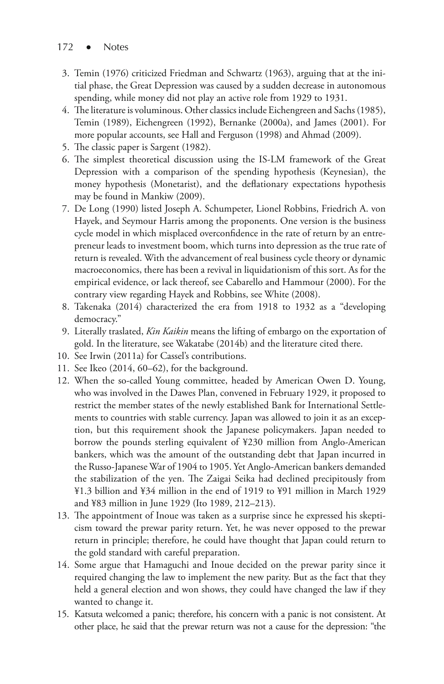- 172 Notes
- 3. Temin (1976) criticized Friedman and Schwartz (1963), arguing that at the initial phase, the Great Depression was caused by a sudden decrease in autonomous spending, while money did not play an active role from 1929 to 1931.
- 4. The literature is voluminous. Other classics include Eichengreen and Sachs (1985), Temin (1989), Eichengreen (1992), Bernanke (2000a), and James (2001). For more popular accounts, see Hall and Ferguson (1998) and Ahmad (2009).
- 5. The classic paper is Sargent (1982).
- 6. The simplest theoretical discussion using the IS-LM framework of the Great Depression with a comparison of the spending hypothesis (Keynesian), the money hypothesis (Monetarist), and the deflationary expectations hypothesis may be found in Mankiw (2009).
- 7. De Long (1990) listed Joseph A. Schumpeter, Lionel Robbins, Friedrich A. von Hayek, and Seymour Harris among the proponents. One version is the business cycle model in which misplaced overconfidence in the rate of return by an entrepreneur leads to investment boom, which turns into depression as the true rate of return is revealed. With the advancement of real business cycle theory or dynamic macroeconomics, there has been a revival in liquidationism of this sort. As for the empirical evidence, or lack thereof, see Cabarello and Hammour (2000). For the contrary view regarding Hayek and Robbins, see White (2008).
- 8. Takenaka (2014) characterized the era from 1918 to 1932 as a "developing democracy."
- 9. Literally traslated, *Kin Kaikin* means the lifting of embargo on the exportation of gold. In the literature, see Wakatabe (2014b) and the literature cited there.
- 10. See Irwin (2011a) for Cassel's contributions.
- 11. See Ikeo (2014, 60–62), for the background.
- 12. When the so-called Young committee, headed by American Owen D. Young, who was involved in the Dawes Plan, convened in February 1929, it proposed to restrict the member states of the newly established Bank for International Settlements to countries with stable currency. Japan was allowed to join it as an exception, but this requirement shook the Japanese policymakers. Japan needed to borrow the pounds sterling equivalent of ¥230 million from Anglo-American bankers, which was the amount of the outstanding debt that Japan incurred in the Russo-Japanese War of 1904 to 1905. Yet Anglo-American bankers demanded the stabilization of the yen. The Zaigai Seika had declined precipitously from ¥1.3 billion and ¥34 million in the end of 1919 to ¥91 million in March 1929 and ¥83 million in June 1929 (Ito 1989, 212–213).
- 13. The appointment of Inoue was taken as a surprise since he expressed his skepticism toward the prewar parity return. Yet, he was never opposed to the prewar return in principle; therefore, he could have thought that Japan could return to the gold standard with careful preparation.
- 14. Some argue that Hamaguchi and Inoue decided on the prewar parity since it required changing the law to implement the new parity. But as the fact that they held a general election and won shows, they could have changed the law if they wanted to change it.
- 15. Katsuta welcomed a panic; therefore, his concern with a panic is not consistent. At other place, he said that the prewar return was not a cause for the depression: "the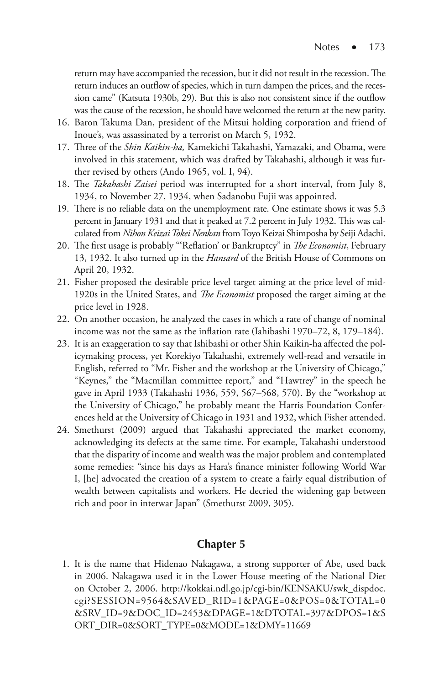return may have accompanied the recession, but it did not result in the recession. The return induces an outflow of species, which in turn dampen the prices, and the recession came" (Katsuta 1930b, 29). But this is also not consistent since if the outflow was the cause of the recession, he should have welcomed the return at the new parity.

- 16. Baron Takuma Dan, president of the Mitsui holding corporation and friend of Inoue's, was assassinated by a terrorist on March 5, 1932.
- 17. Three of the *Shin Kaikin-ha,* Kamekichi Takahashi, Yamazaki, and Obama, were involved in this statement, which was drafted by Takahashi, although it was further revised by others (Ando 1965, vol. I, 94).
- 18. The *Takahashi Zaisei* period was interrupted for a short interval, from July 8, 1934, to November 27, 1934, when Sadanobu Fujii was appointed.
- 19. There is no reliable data on the unemployment rate. One estimate shows it was 5.3 percent in January 1931 and that it peaked at 7.2 percent in July 1932. This was calculated from *Nihon Keizai Tokei Nenkan* from Toyo Keizai Shimposha by Seiji Adachi.
- 20. The first usage is probably "'Reflation' or Bankruptcy" in *The Economist*, February 13, 1932. It also turned up in the *Hansard* of the British House of Commons on April 20, 1932.
- 21. Fisher proposed the desirable price level target aiming at the price level of mid-1920s in the United States, and *The Economist* proposed the target aiming at the price level in 1928.
- 22. On another occasion, he analyzed the cases in which a rate of change of nominal income was not the same as the inflation rate (Iahibashi 1970–72, 8, 179–184).
- 23. It is an exaggeration to say that Ishibashi or other Shin Kaikin-ha affected the policymaking process, yet Korekiyo Takahashi, extremely well-read and versatile in English, referred to "Mr. Fisher and the workshop at the University of Chicago," "Keynes," the "Macmillan committee report," and "Hawtrey" in the speech he gave in April 1933 (Takahashi 1936, 559, 567–568, 570). By the "workshop at the University of Chicago," he probably meant the Harris Foundation Conferences held at the University of Chicago in 1931 and 1932, which Fisher attended.
- 24. Smethurst (2009) argued that Takahashi appreciated the market economy, acknowledging its defects at the same time. For example, Takahashi understood that the disparity of income and wealth was the major problem and contemplated some remedies: "since his days as Hara's finance minister following World War I, [he] advocated the creation of a system to create a fairly equal distribution of wealth between capitalists and workers. He decried the widening gap between rich and poor in interwar Japan" (Smethurst 2009, 305).

#### **Chapter 5**

 1. It is the name that Hidenao Nakagawa, a strong supporter of Abe, used back in 2006. Nakagawa used it in the Lower House meeting of the National Diet on October 2, 2006. http://kokkai.ndl.go.jp/cgi-bin/KENSAKU/swk\_dispdoc. cgi?SESSION=9564&SAVED\_RID=1&PAGE=0&POS=0&TOTAL=0 &SRV\_ID=9&DOC\_ID=2453&DPAGE=1&DTOTAL=397&DPOS=1&S ORT\_DIR=0&SORT\_TYPE=0&MODE=1&DMY=11669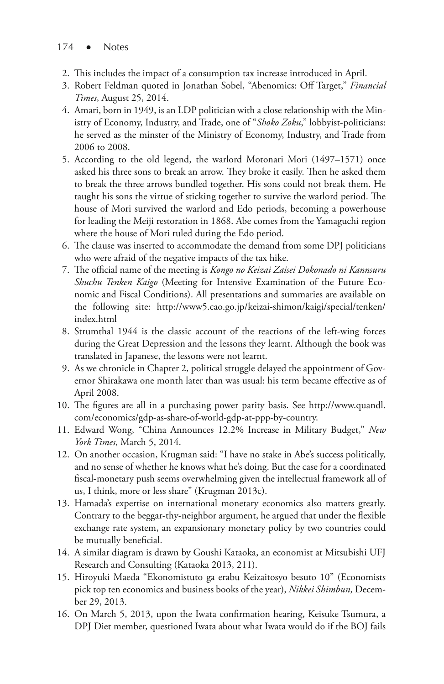- $174 \bullet$  Notes
- 2. This includes the impact of a consumption tax increase introduced in April.
- 3. Robert Feldman quoted in Jonathan Sobel, "Abenomics: Off Target," *Financial Times*, August 25, 2014.
- 4. Amari, born in 1949, is an LDP politician with a close relationship with the Ministry of Economy, Industry, and Trade, one of "*Shoko Zoku*," lobbyist-politicians: he served as the minster of the Ministry of Economy, Industry, and Trade from 2006 to 2008.
- 5. According to the old legend, the warlord Motonari Mori (1497–1571) once asked his three sons to break an arrow. They broke it easily. Then he asked them to break the three arrows bundled together. His sons could not break them. He taught his sons the virtue of sticking together to survive the warlord period. The house of Mori survived the warlord and Edo periods, becoming a powerhouse for leading the Meiji restoration in 1868. Abe comes from the Yamaguchi region where the house of Mori ruled during the Edo period.
- 6. The clause was inserted to accommodate the demand from some DPJ politicians who were afraid of the negative impacts of the tax hike.
- 7. The official name of the meeting is *Kongo no Keizai Zaisei Dokonado ni Kannsuru Shuchu Tenken Kaigo* (Meeting for Intensive Examination of the Future Economic and Fiscal Conditions). All presentations and summaries are available on the following site: http://www5.cao.go.jp/keizai-shimon/kaigi/special/tenken/ index.html
- 8. Strumthal 1944 is the classic account of the reactions of the left-wing forces during the Great Depression and the lessons they learnt. Although the book was translated in Japanese, the lessons were not learnt.
- 9. As we chronicle in Chapter 2, political struggle delayed the appointment of Governor Shirakawa one month later than was usual: his term became effective as of April 2008.
- 10. The figures are all in a purchasing power parity basis. See http://www.quandl. com/economics/gdp-as-share-of-world-gdp-at-ppp-by-country.
- 11. Edward Wong, "China Announces 12.2% Increase in Military Budget," *New York Times*, March 5, 2014.
- 12. On another occasion, Krugman said: "I have no stake in Abe's success politically, and no sense of whether he knows what he's doing. But the case for a coordinated fiscal-monetary push seems overwhelming given the intellectual framework all of us, I think, more or less share" (Krugman 2013c).
- 13. Hamada's expertise on international monetary economics also matters greatly. Contrary to the beggar-thy-neighbor argument, he argued that under the flexible exchange rate system, an expansionary monetary policy by two countries could be mutually beneficial.
- 14. A similar diagram is drawn by Goushi Kataoka, an economist at Mitsubishi UFJ Research and Consulting (Kataoka 2013, 211).
- 15. Hiroyuki Maeda "Ekonomistuto ga erabu Keizaitosyo besuto 10" (Economists pick top ten economics and business books of the year), *Nikkei Shimbun*, December 29, 2013.
- 16. On March 5, 2013, upon the Iwata confirmation hearing, Keisuke Tsumura, a DPJ Diet member, questioned Iwata about what Iwata would do if the BOJ fails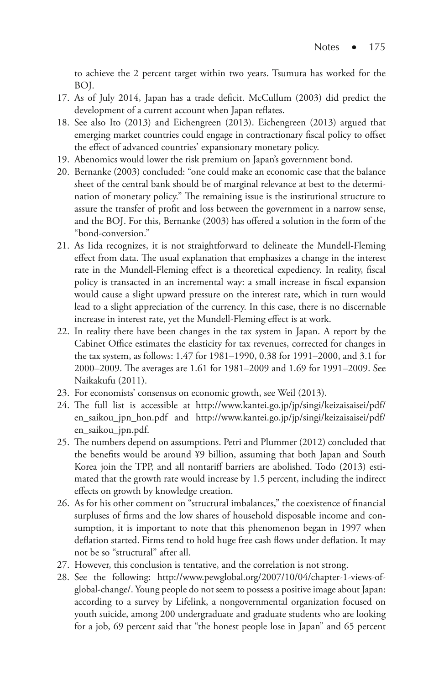to achieve the 2 percent target within two years. Tsumura has worked for the BOJ.

- 17. As of July 2014, Japan has a trade deficit. McCullum (2003) did predict the development of a current account when Japan reflates.
- 18. See also Ito (2013) and Eichengreen (2013). Eichengreen (2013) argued that emerging market countries could engage in contractionary fiscal policy to offset the effect of advanced countries' expansionary monetary policy.
- 19. Abenomics would lower the risk premium on Japan's government bond.
- 20. Bernanke (2003) concluded: "one could make an economic case that the balance sheet of the central bank should be of marginal relevance at best to the determination of monetary policy." The remaining issue is the institutional structure to assure the transfer of profit and loss between the government in a narrow sense, and the BOJ. For this, Bernanke (2003) has offered a solution in the form of the "bond-conversion."
- 21. As Iida recognizes, it is not straightforward to delineate the Mundell-Fleming effect from data. The usual explanation that emphasizes a change in the interest rate in the Mundell-Fleming effect is a theoretical expediency. In reality, fiscal policy is transacted in an incremental way: a small increase in fiscal expansion would cause a slight upward pressure on the interest rate, which in turn would lead to a slight appreciation of the currency. In this case, there is no discernable increase in interest rate, yet the Mundell-Fleming effect is at work.
- 22. In reality there have been changes in the tax system in Japan. A report by the Cabinet Office estimates the elasticity for tax revenues, corrected for changes in the tax system, as follows: 1.47 for 1981–1990, 0.38 for 1991–2000, and 3.1 for 2000–2009. The averages are 1.61 for 1981–2009 and 1.69 for 1991–2009. See Naikakufu (2011).
- 23. For economists' consensus on economic growth, see Weil (2013).
- 24. The full list is accessible at http://www.kantei.go.jp/jp/singi/keizaisaisei/pdf/ en\_saikou\_jpn\_hon.pdf and http://www.kantei.go.jp/jp/singi/keizaisaisei/pdf/ en\_saikou\_jpn.pdf.
- 25. The numbers depend on assumptions. Petri and Plummer (2012) concluded that the benefits would be around ¥9 billion, assuming that both Japan and South Korea join the TPP, and all nontariff barriers are abolished. Todo (2013) estimated that the growth rate would increase by 1.5 percent, including the indirect effects on growth by knowledge creation.
- 26. As for his other comment on "structural imbalances," the coexistence of financial surpluses of firms and the low shares of household disposable income and consumption, it is important to note that this phenomenon began in 1997 when deflation started. Firms tend to hold huge free cash flows under deflation. It may not be so "structural" after all.
- 27. However, this conclusion is tentative, and the correlation is not strong.
- 28. See the following: http://www.pewglobal.org/2007/10/04/chapter-1-views-ofglobal-change/. Young people do not seem to possess a positive image about Japan: according to a survey by Lifelink, a nongovernmental organization focused on youth suicide, among 200 undergraduate and graduate students who are looking for a job, 69 percent said that "the honest people lose in Japan" and 65 percent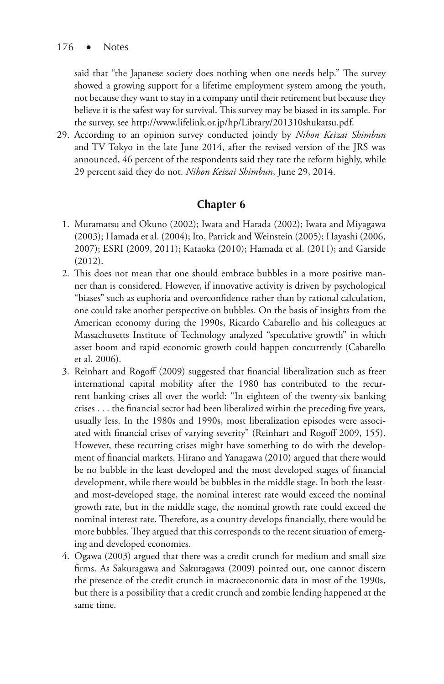said that "the Japanese society does nothing when one needs help." The survey showed a growing support for a lifetime employment system among the youth, not because they want to stay in a company until their retirement but because they believe it is the safest way for survival. This survey may be biased in its sample. For the survey, see http://www.lifelink.or.jp/hp/Library/201310shukatsu.pdf.

29. According to an opinion survey conducted jointly by *Nihon Keizai Shimbun* and TV Tokyo in the late June 2014, after the revised version of the JRS was announced, 46 percent of the respondents said they rate the reform highly, while 29 percent said they do not. *Nihon Keizai Shimbun*, June 29, 2014.

## **Chapter 6**

- 1. Muramatsu and Okuno (2002); Iwata and Harada (2002); Iwata and Miyagawa (2003); Hamada et al. (2004); Ito, Patrick and Weinstein (2005); Hayashi (2006, 2007); ESRI (2009, 2011); Kataoka (2010); Hamada et al. (2011); and Garside (2012).
- 2. This does not mean that one should embrace bubbles in a more positive manner than is considered. However, if innovative activity is driven by psychological "biases" such as euphoria and overconfidence rather than by rational calculation, one could take another perspective on bubbles. On the basis of insights from the American economy during the 1990s, Ricardo Cabarello and his colleagues at Massachusetts Institute of Technology analyzed "speculative growth" in which asset boom and rapid economic growth could happen concurrently (Cabarello et al. 2006).
- 3. Reinhart and Rogoff (2009) suggested that financial liberalization such as freer international capital mobility after the 1980 has contributed to the recurrent banking crises all over the world: "In eighteen of the twenty-six banking crises . . . the financial sector had been liberalized within the preceding five years, usually less. In the 1980s and 1990s, most liberalization episodes were associated with financial crises of varying severity" (Reinhart and Rogoff 2009, 155). However, these recurring crises might have something to do with the development of financial markets. Hirano and Yanagawa (2010) argued that there would be no bubble in the least developed and the most developed stages of financial development, while there would be bubbles in the middle stage. In both the leastand most-developed stage, the nominal interest rate would exceed the nominal growth rate, but in the middle stage, the nominal growth rate could exceed the nominal interest rate. Therefore, as a country develops financially, there would be more bubbles. They argued that this corresponds to the recent situation of emerging and developed economies.
- 4. Ogawa (2003) argued that there was a credit crunch for medium and small size firms. As Sakuragawa and Sakuragawa (2009) pointed out, one cannot discern the presence of the credit crunch in macroeconomic data in most of the 1990s, but there is a possibility that a credit crunch and zombie lending happened at the same time.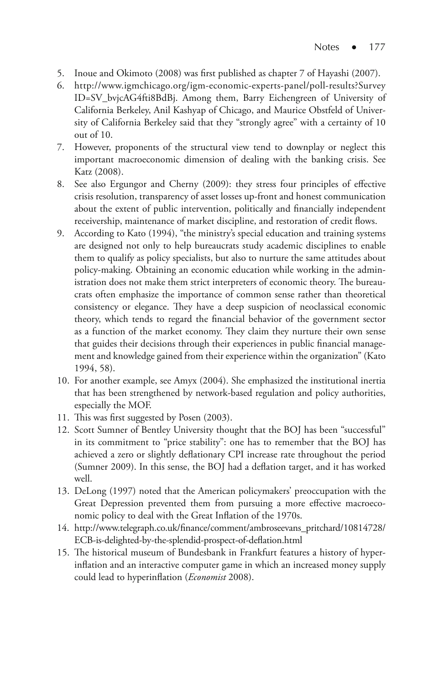- 5. Inoue and Okimoto (2008) was first published as chapter 7 of Hayashi (2007).
- 6. http://www.igmchicago.org/igm-economic-experts-panel/poll-results?Survey ID=SV\_bvjcAG4fti8BdBj. Among them, Barry Eichengreen of University of California Berkeley, Anil Kashyap of Chicago, and Maurice Obstfeld of University of California Berkeley said that they "strongly agree" with a certainty of 10 out of 10.
- 7. However, proponents of the structural view tend to downplay or neglect this important macroeconomic dimension of dealing with the banking crisis. See Katz (2008).
- 8. See also Ergungor and Cherny (2009): they stress four principles of effective crisis resolution, transparency of asset losses up-front and honest communication about the extent of public intervention, politically and financially independent receivership, maintenance of market discipline, and restoration of credit flows.
- 9. According to Kato (1994), "the ministry's special education and training systems are designed not only to help bureaucrats study academic disciplines to enable them to qualify as policy specialists, but also to nurture the same attitudes about policy-making. Obtaining an economic education while working in the administration does not make them strict interpreters of economic theory. The bureaucrats often emphasize the importance of common sense rather than theoretical consistency or elegance. They have a deep suspicion of neoclassical economic theory, which tends to regard the financial behavior of the government sector as a function of the market economy. They claim they nurture their own sense that guides their decisions through their experiences in public financial management and knowledge gained from their experience within the organization" (Kato 1994, 58).
- 10. For another example, see Amyx (2004). She emphasized the institutional inertia that has been strengthened by network-based regulation and policy authorities, especially the MOF.
- 11. This was first suggested by Posen (2003).
- 12. Scott Sumner of Bentley University thought that the BOJ has been "successful" in its commitment to "price stability": one has to remember that the BOJ has achieved a zero or slightly deflationary CPI increase rate throughout the period (Sumner 2009). In this sense, the BOJ had a deflation target, and it has worked well.
- 13. DeLong (1997) noted that the American policymakers' preoccupation with the Great Depression prevented them from pursuing a more effective macroeconomic policy to deal with the Great Inflation of the 1970s.
- 14. http://www.telegraph.co.uk/finance/comment/ambroseevans\_pritchard/10814728/ ECB-is-delighted-by-the-splendid-prospect-of-deflation.html
- 15. The historical museum of Bundesbank in Frankfurt features a history of hyperinflation and an interactive computer game in which an increased money supply could lead to hyperinflation (*Economist* 2008).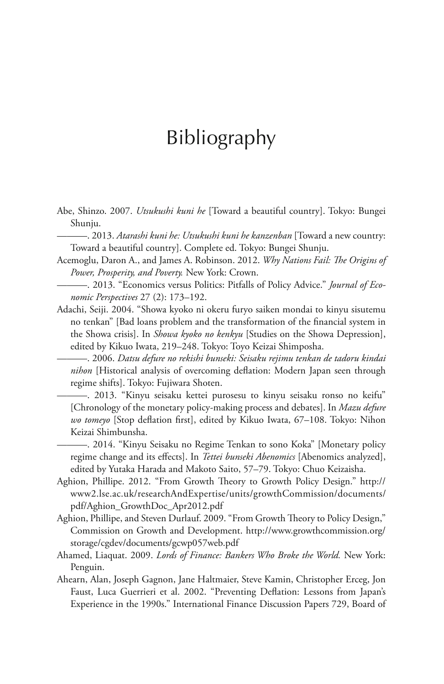# Bibliography

- Abe, Shinzo. 2007. *Utsukushi kuni he* [Toward a beautiful country]. Tokyo: Bungei Shunju.
	- ———. 2013. *Atarashi kuni he: Utsukushi kuni he kanzenban* [Toward a new country: Toward a beautiful country]. Complete ed. Tokyo: Bungei Shunju.
- Acemoglu, Daron A., and James A. Robinson. 2012. *Why Nations Fail: The Origins of Power, Prosperity, and Poverty.* New York: Crown.
- ———. 2013. "Economics versus Politics: Pitfalls of Policy Advice." *Journal of Economic Perspectives* 27 (2): 173–192.
- Adachi, Seiji. 2004. "Showa kyoko ni okeru furyo saiken mondai to kinyu sisutemu no tenkan" [Bad loans problem and the transformation of the financial system in the Showa crisis]. In *Showa kyoko no kenkyu* [Studies on the Showa Depression], edited by Kikuo Iwata, 219–248. Tokyo: Toyo Keizai Shimposha.

———. 2006. *Datsu defure no rekishi bunseki: Seisaku rejimu tenkan de tadoru kindai nihon* [Historical analysis of overcoming deflation: Modern Japan seen through regime shifts]. Tokyo: Fujiwara Shoten.

———. 2013. "Kinyu seisaku kettei purosesu to kinyu seisaku ronso no keifu" [Chronology of the monetary policy-making process and debates]. In *Mazu defure wo tomeyo* [Stop deflation first], edited by Kikuo Iwata, 67–108. Tokyo: Nihon Keizai Shimbunsha.

———. 2014. "Kinyu Seisaku no Regime Tenkan to sono Koka" [Monetary policy regime change and its effects]. In *Tettei bunseki Abenomics* [Abenomics analyzed], edited by Yutaka Harada and Makoto Saito, 57–79. Tokyo: Chuo Keizaisha.

- Aghion, Phillipe. 2012. "From Growth Theory to Growth Policy Design." http:// www2.lse.ac.uk/researchAndExpertise/units/growthCommission/documents/ pdf/Aghion\_GrowthDoc\_Apr2012.pdf
- Aghion, Phillipe, and Steven Durlauf. 2009. "From Growth Theory to Policy Design," Commission on Growth and Development. http://www.growthcommission.org/ storage/cgdev/documents/gcwp057web.pdf
- Ahamed, Liaquat. 2009. *Lords of Finance: Bankers Who Broke the World.* New York: Penguin.
- Ahearn, Alan, Joseph Gagnon, Jane Haltmaier, Steve Kamin, Christopher Erceg, Jon Faust, Luca Guerrieri et al. 2002. "Preventing Deflation: Lessons from Japan's Experience in the 1990s." International Finance Discussion Papers 729, Board of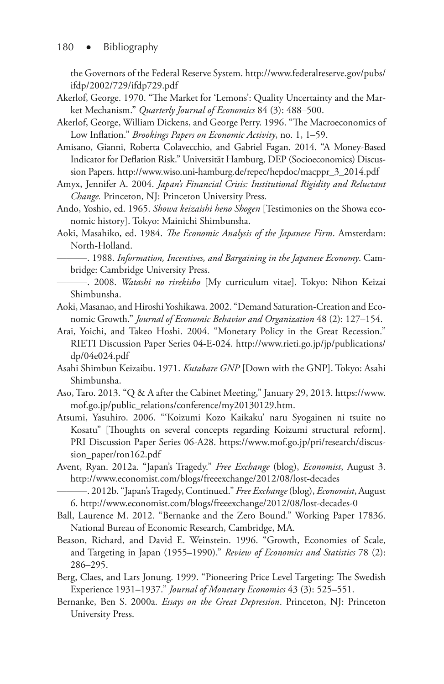the Governors of the Federal Reserve System. http://www.federalreserve.gov/pubs/ ifdp/2002/729/ifdp729.pdf

- Akerlof, George. 1970. "The Market for 'Lemons': Quality Uncertainty and the Market Mechanism." *Quarterly Journal of Economics* 84 (3): 488–500.
- Akerlof, George, William Dickens, and George Perry. 1996. "The Macroeconomics of Low Inflation." *Brookings Papers on Economic Activity*, no. 1, 1–59.
- Amisano, Gianni, Roberta Colavecchio, and Gabriel Fagan. 2014. "A Money-Based Indicator for Deflation Risk." Universität Hamburg, DEP (Socioeconomics) Discussion Papers. http://www.wiso.uni-hamburg.de/repec/hepdoc/macppr\_3\_2014.pdf
- Amyx, Jennifer A. 2004. *Japan's Financial Crisis: Institutional Rigidity and Reluctant Change.* Princeton, NJ: Princeton University Press.
- Ando, Yoshio, ed. 1965. *Showa keizaishi heno Shogen* [Testimonies on the Showa economic history]. Tokyo: Mainichi Shimbunsha.
- Aoki, Masahiko, ed. 1984. *The Economic Analysis of the Japanese Firm*. Amsterdam: North-Holland.
	- ———. 1988. *Information, Incentives, and Bargaining in the Japanese Economy*. Cambridge: Cambridge University Press.
	- ———. 2008. *Watashi no rirekisho* [My curriculum vitae]. Tokyo: Nihon Keizai Shimbunsha.
- Aoki, Masanao, and Hiroshi Yoshikawa. 2002. "Demand Saturation-Creation and Economic Growth." *Journal of Economic Behavior and Organization* 48 (2): 127–154.
- Arai, Yoichi, and Takeo Hoshi. 2004. "Monetary Policy in the Great Recession." RIETI Discussion Paper Series 04-E-024. http://www.rieti.go.jp/jp/publications/ dp/04e024.pdf
- Asahi Shimbun Keizaibu. 1971. *Kutabare GNP* [Down with the GNP]. Tokyo: Asahi Shimbunsha.
- Aso, Taro. 2013. "Q & A after the Cabinet Meeting," January 29, 2013. https://www. mof.go.jp/public\_relations/conference/my20130129.htm.
- Atsumi, Yasuhiro. 2006. "'Koizumi Kozo Kaikaku' naru Syogainen ni tsuite no Kosatu" [Thoughts on several concepts regarding Koizumi structural reform]. PRI Discussion Paper Series 06-A28. https://www.mof.go.jp/pri/research/discussion\_paper/ron162.pdf
- Avent, Ryan. 2012a. "Japan's Tragedy." *Free Exchange* (blog), *Economist*, August 3. http://www.economist.com/blogs/freeexchange/2012/08/lost-decades

- Ball, Laurence M. 2012. "Bernanke and the Zero Bound." Working Paper 17836. National Bureau of Economic Research, Cambridge, MA.
- Beason, Richard, and David E. Weinstein. 1996. "Growth, Economies of Scale, and Targeting in Japan (1955–1990)." *Review of Economics and Statistics* 78 (2): 286–295.
- Berg, Claes, and Lars Jonung. 1999. "Pioneering Price Level Targeting: The Swedish Experience 1931–1937." *Journal of Monetary Economics* 43 (3): 525–551.
- Bernanke, Ben S. 2000a. *Essays on the Great Depression*. Princeton, NJ: Princeton University Press.

<sup>———. 2012</sup>b. "Japan's Tragedy, Continued." *Free Exchange* (blog), *Economist*, August 6. http://www.economist.com/blogs/freeexchange/2012/08/lost-decades-0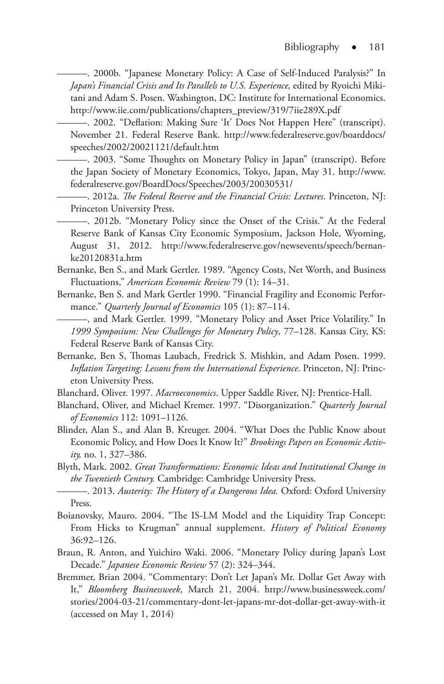———. 2000b. "Japanese Monetary Policy: A Case of Self-Induced Paralysis?" In *Japan's Financial Crisis and Its Parallels to U.S. Experience, edited by Ryoichi Miki*tani and Adam S. Posen. Washington, DC: Institute for International Economics. http://www.iie.com/publications/chapters\_preview/319/7iie289X.pdf

———. 2002. "Deflation: Making Sure 'It' Does Not Happen Here" (transcript). November 21. Federal Reserve Bank. http://www.federalreserve.gov/boarddocs/ speeches/2002/20021121/default.htm

———. 2003. "Some Thoughts on Monetary Policy in Japan" (transcript). Before the Japan Society of Monetary Economics, Tokyo, Japan, May 31. http://www. federalreserve.gov/BoardDocs/Speeches/2003/20030531/

———. 2012a. *The Federal Reserve and the Financial Crisis: Lectures*. Princeton, NJ: Princeton University Press.

———. 2012b. "Monetary Policy since the Onset of the Crisis." At the Federal Reserve Bank of Kansas City Economic Symposium, Jackson Hole, Wyoming, August 31, 2012. http://www.federalreserve.gov/newsevents/speech/bernanke20120831a.htm

- Bernanke, Ben S., and Mark Gertler. 1989. "Agency Costs, Net Worth, and Business Fluctuations," *American Economic Review* 79 (1): 14–31.
- Bernanke, Ben S. and Mark Gertler 1990. "Financial Fragility and Economic Performance." *Quarterly Journal of Economics* 105 (1): 87–114.

———, and Mark Gertler. 1999. "Monetary Policy and Asset Price Volatility." In *1999 Symposium: New Challenges for Monetary Policy*, 77–128. Kansas City, KS: Federal Reserve Bank of Kansas City.

Bernanke, Ben S, Thomas Laubach, Fredrick S. Mishkin, and Adam Posen. 1999. *Inflation Targeting: Lessons from the International Experience*. Princeton, NJ: Princeton University Press.

Blanchard, Oliver. 1997. *Macroeconomics*. Upper Saddle River, NJ: Prentice-Hall.

- Blanchard, Oliver, and Michael Kremer. 1997. "Disorganization." *Quarterly Journal of Economics* 112: 1091–1126.
- Blinder, Alan S., and Alan B. Kreuger. 2004. "What Does the Public Know about Economic Policy, and How Does It Know It?" *Brookings Papers on Economic Activity,* no. 1, 327–386.
- Blyth, Mark. 2002. *Great Transformations: Economic Ideas and Institutional Change in the Twentieth Century.* Cambridge: Cambridge University Press.

- Boianovsky, Mauro. 2004. "The IS-LM Model and the Liquidity Trap Concept: From Hicks to Krugman" annual supplement. *History of Political Economy* 36:92–126.
- Braun, R. Anton, and Yuichiro Waki. 2006. "Monetary Policy during Japan's Lost Decade." *Japanese Economic Review* 57 (2): 324–344.
- Bremmer, Brian 2004. "Commentary: Don't Let Japan's Mr. Dollar Get Away with It," *Bloomberg Businessweek*, March 21, 2004. http://www.businessweek.com/ stories/2004-03-21/commentary-dont-let-japans-mr-dot-dollar-get-away-with-it (accessed on May 1, 2014)

<sup>———. 2013.</sup> *Austerity: The History of a Dangerous Idea.* Oxford: Oxford University Press.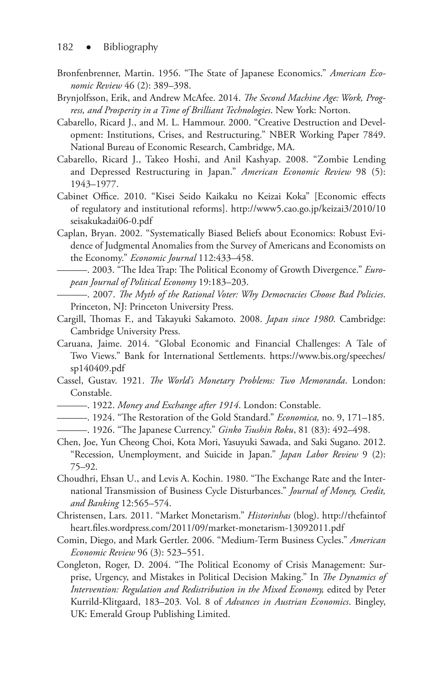- Bronfenbrenner, Martin. 1956. "The State of Japanese Economics." *American Economic Review* 46 (2): 389–398.
- Brynjolfsson, Erik, and Andrew McAfee. 2014. *The Second Machine Age: Work, Progress, and Prosperity in a Time of Brilliant Technologies*. New York: Norton.
- Cabarello, Ricard J., and M. L. Hammour. 2000. "Creative Destruction and Development: Institutions, Crises, and Restructuring." NBER Working Paper 7849. National Bureau of Economic Research, Cambridge, MA.
- Cabarello, Ricard J., Takeo Hoshi, and Anil Kashyap. 2008. "Zombie Lending and Depressed Restructuring in Japan." *American Economic Review* 98 (5): 1943–1977.
- Cabinet Office. 2010. "Kisei Seido Kaikaku no Keizai Koka" [Economic effects of regulatory and institutional reforms]. http://www5.cao.go.jp/keizai3/2010/10 seisakukadai06-0.pdf
- Caplan, Bryan. 2002. "Systematically Biased Beliefs about Economics: Robust Evidence of Judgmental Anomalies from the Survey of Americans and Economists on the Economy." *Economic Journal* 112:433–458.
- ———. 2003. "The Idea Trap: The Political Economy of Growth Divergence." *European Journal of Political Economy* 19:183–203.
- ———. 2007. *The Myth of the Rational Voter: Why Democracies Choose Bad Policies*. Princeton, NJ: Princeton University Press.
- Cargill, Thomas F., and Takayuki Sakamoto. 2008. *Japan since 1980*. Cambridge: Cambridge University Press.
- Caruana, Jaime. 2014. "Global Economic and Financial Challenges: A Tale of Two Views." Bank for International Settlements. https://www.bis.org/speeches/ sp140409.pdf
- Cassel, Gustav. 1921. *The World's Monetary Problems: Two Memoranda*. London: Constable.
- ———. 1922. *Money and Exchange after 1914*. London: Constable.
- ———. 1924. "The Restoration of the Gold Standard." *Economica,* no. 9, 171–185.
- ———. 1926. "The Japanese Currency." *Ginko Tsushin Roku*, 81 (83): 492–498.
- Chen, Joe, Yun Cheong Choi, Kota Mori, Yasuyuki Sawada, and Saki Sugano. 2012. "Recession, Unemployment, and Suicide in Japan." *Japan Labor Review* 9 (2): 75–92.
- Choudhri, Ehsan U., and Levis A. Kochin. 1980. "The Exchange Rate and the International Transmission of Business Cycle Disturbances." *Journal of Money, Credit, and Banking* 12:565–574.
- Christensen, Lars. 2011. "Market Monetarism." *Historinhas* (blog). http://thefaintof heart.files.wordpress.com/2011/09/market-monetarism-13092011.pdf
- Comin, Diego, and Mark Gertler. 2006. "Medium-Term Business Cycles." *American Economic Review* 96 (3): 523–551.
- Congleton, Roger, D. 2004. "The Political Economy of Crisis Management: Surprise, Urgency, and Mistakes in Political Decision Making." In *The Dynamics of Intervention: Regulation and Redistribution in the Mixed Economy,* edited by Peter Kurrild-Klitgaard, 183–203*.* Vol. 8 of *Advances in Austrian Economics*. Bingley, UK: Emerald Group Publishing Limited.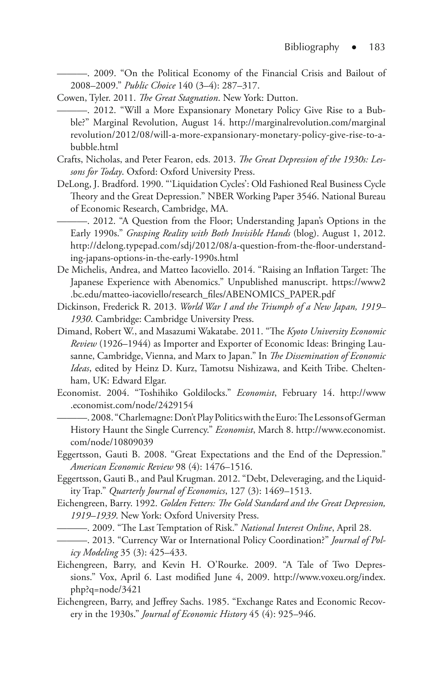———. 2009. "On the Political Economy of the Financial Crisis and Bailout of 2008–2009." *Public Choice* 140 (3–4): 287–317.

- Cowen, Tyler. 2011. *The Great Stagnation*. New York: Dutton.
- ———. 2012. "Will a More Expansionary Monetary Policy Give Rise to a Bubble?" Marginal Revolution, August 14. http://marginalrevolution.com/marginal revolution/2012/08/will-a-more-expansionary-monetary-policy-give-rise-to-abubble.html
- Crafts, Nicholas, and Peter Fearon, eds. 2013. *The Great Depression of the 1930s: Lessons for Today*. Oxford: Oxford University Press.
- DeLong, J. Bradford. 1990. "'Liquidation Cycles': Old Fashioned Real Business Cycle Theory and the Great Depression." NBER Working Paper 3546. National Bureau of Economic Research, Cambridge, MA.

———. 2012. "A Question from the Floor; Understanding Japan's Options in the Early 1990s." *Grasping Reality with Both Invisible Hands* (blog). August 1, 2012. http://delong.typepad.com/sdj/2012/08/a-question-from-the-floor-understanding-japans-options-in-the-early-1990s.html

- De Michelis, Andrea, and Matteo Iacoviello. 2014. "Raising an Inflation Target: The Japanese Experience with Abenomics." Unpublished manuscript. https://www2 .bc.edu/matteo-iacoviello/research\_files/ABENOMICS\_PAPER.pdf
- Dickinson, Frederick R. 2013. *World War I and the Triumph of a New Japan, 1919– 1930*. Cambridge: Cambridge University Press.
- Dimand, Robert W., and Masazumi Wakatabe. 2011. "The *Kyoto University Economic Review* (1926–1944) as Importer and Exporter of Economic Ideas: Bringing Lausanne, Cambridge, Vienna, and Marx to Japan." In *The Dissemination of Economic Ideas*, edited by Heinz D. Kurz, Tamotsu Nishizawa, and Keith Tribe. Cheltenham, UK: Edward Elgar.
- Economist. 2004. "Toshihiko Goldilocks." *Economist*, February 14. http://www .economist.com/node/2429154

———. 2008. "Charlemagne: Don't Play Politics with the Euro: The Lessons of German History Haunt the Single Currency." *Economist*, March 8. http://www.economist. com/node/10809039

- Eggertsson, Gauti B. 2008. "Great Expectations and the End of the Depression." *American Economic Review* 98 (4): 1476–1516.
- Eggertsson, Gauti B., and Paul Krugman. 2012. "Debt, Deleveraging, and the Liquidity Trap." *Quarterly Journal of Economics*, 127 (3): 1469–1513.
- Eichengreen, Barry. 1992. *Golden Fetters: The Gold Standard and the Great Depression, 1919–1939*. New York: Oxford University Press.
	- ———. 2009. "The Last Temptation of Risk." *National Interest Online*, April 28.
- ———. 2013. "Currency War or International Policy Coordination?" *Journal of Policy Modeling* 35 (3): 425–433.
- Eichengreen, Barry, and Kevin H. O'Rourke. 2009. "A Tale of Two Depressions." Vox, April 6. Last modified June 4, 2009. http://www.voxeu.org/index. php?q=node/3421
- Eichengreen, Barry, and Jeffrey Sachs. 1985. "Exchange Rates and Economic Recovery in the 1930s." *Journal of Economic History* 45 (4): 925–946.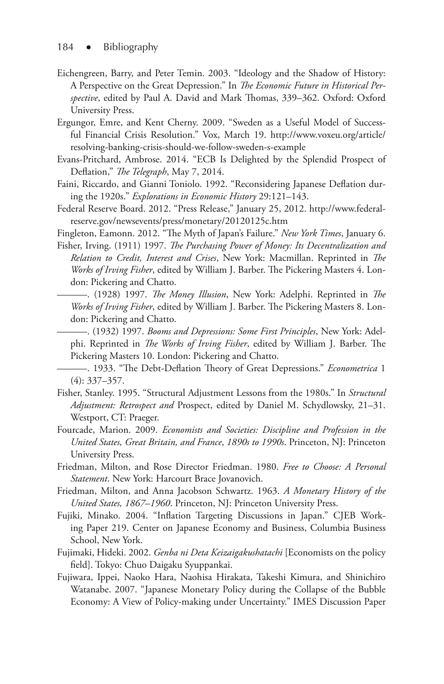- Eichengreen, Barry, and Peter Temin. 2003. "Ideology and the Shadow of History: A Perspective on the Great Depression." In *The Economic Future in Historical Perspective*, edited by Paul A. David and Mark Thomas, 339–362. Oxford: Oxford University Press.
- Ergungor, Emre, and Kent Cherny. 2009. "Sweden as a Useful Model of Successful Financial Crisis Resolution." Vox, March 19. http://www.voxeu.org/article/ resolving-banking-crisis-should-we-follow-sweden-s-example
- Evans-Pritchard, Ambrose. 2014. "ECB Is Delighted by the Splendid Prospect of Deflation," *The Telegraph*, May 7, 2014.
- Faini, Riccardo, and Gianni Toniolo. 1992. "Reconsidering Japanese Deflation during the 1920s." *Explorations in Economic History* 29:121–143.
- Federal Reserve Board. 2012. "Press Release," January 25, 2012. http://www.federalreserve.gov/newsevents/press/monetary/20120125c.htm

Fingleton, Eamonn. 2012. "The Myth of Japan's Failure." *New York Times*, January 6.

- Fisher, Irving. (1911) 1997. *The Purchasing Power of Money: Its Decentralization and Relation to Credit, Interest and Crises*, New York: Macmillan. Reprinted in *The Works of Irving Fisher*, edited by William J. Barber. The Pickering Masters 4. London: Pickering and Chatto.
	- ———. (1928) 1997. *The Money Illusion*, New York: Adelphi. Reprinted in *The Works of Irving Fisher*, edited by William J. Barber. The Pickering Masters 8. London: Pickering and Chatto.

———. (1932) 1997. *Booms and Depressions: Some First Principles*, New York: Adelphi. Reprinted in *The Works of Irving Fisher*, edited by William J. Barber. The Pickering Masters 10. London: Pickering and Chatto.

- ———. 1933. "The Debt-Deflation Theory of Great Depressions." *Econometrica* 1 (4): 337–357.
- Fisher, Stanley. 1995. "Structural Adjustment Lessons from the 1980s." In *Structural Adjustment: Retrospect and* Prospect, edited by Daniel M. Schydlowsky, 21–31. Westport, CT: Praeger.
- Fourcade, Marion. 2009. *Economists and Societies: Discipline and Profession in the United States, Great Britain, and France*, *1890s to 1990s*. Princeton, NJ: Princeton University Press.
- Friedman, Milton, and Rose Director Friedman. 1980. *Free to Choose: A Personal Statement*. New York: Harcourt Brace Jovanovich.
- Friedman, Milton, and Anna Jacobson Schwartz. 1963. *A Monetary History of the United States, 1867–1960*. Princeton, NJ: Princeton University Press.
- Fujiki, Minako. 2004. "Inflation Targeting Discussions in Japan." CJEB Working Paper 219. Center on Japanese Economy and Business, Columbia Business School, New York.
- Fujimaki, Hideki. 2002. *Genba ni Deta Keizaigakushatachi* [Economists on the policy field]. Tokyo: Chuo Daigaku Syuppankai.
- Fujiwara, Ippei, Naoko Hara, Naohisa Hirakata, Takeshi Kimura, and Shinichiro Watanabe. 2007. "Japanese Monetary Policy during the Collapse of the Bubble Economy: A View of Policy-making under Uncertainty." IMES Discussion Paper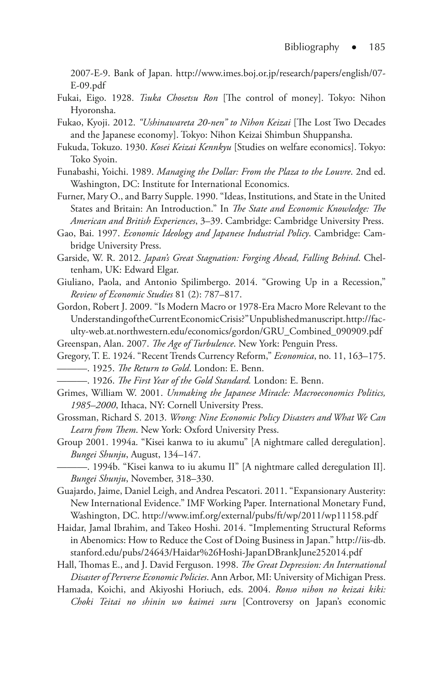2007-E-9. Bank of Japan. http://www.imes.boj.or.jp/research/papers/english/07- E-09.pdf

- Fukai, Eigo. 1928. *Tsuka Chosetsu Ron* [The control of money]. Tokyo: Nihon Hyoronsha.
- Fukao, Kyoji. 2012. *"Ushinawareta 20-nen" to Nihon Keizai* [The Lost Two Decades and the Japanese economy]. Tokyo: Nihon Keizai Shimbun Shuppansha.
- Fukuda, Tokuzo. 1930. *Kosei Keizai Kennkyu* [Studies on welfare economics]. Tokyo: Toko Syoin.
- Funabashi, Yoichi. 1989. *Managing the Dollar: From the Plaza to the Louvre*. 2nd ed. Washington, DC: Institute for International Economics.
- Furner, Mary O., and Barry Supple. 1990. "Ideas, Institutions, and State in the United States and Britain: An Introduction." In *The State and Economic Knowledge: The American and British Experiences*, 3–39. Cambridge: Cambridge University Press.
- Gao, Bai. 1997. *Economic Ideology and Japanese Industrial Policy*. Cambridge: Cambridge University Press.
- Garside, W. R. 2012. *Japan's Great Stagnation: Forging Ahead, Falling Behind*. Cheltenham, UK: Edward Elgar.
- Giuliano, Paola, and Antonio Spilimbergo. 2014. "Growing Up in a Recession," *Review of Economic Studies* 81 (2): 787–817.
- Gordon, Robert J. 2009. "Is Modern Macro or 1978‐Era Macro More Relevant to the Understanding of the Current Economic Crisis?" Unpublished manuscript. http://faculty-web.at.northwestern.edu/economics/gordon/GRU\_Combined\_090909.pdf
- Greenspan, Alan. 2007. *The Age of Turbulence*. New York: Penguin Press.
- Gregory, T. E. 1924. "Recent Trends Currency Reform," *Economica*, no. 11, 163–175. ———. 1925. *The Return to Gold*. London: E. Benn.
	- ———. 1926. *The First Year of the Gold Standard.* London: E. Benn.
- Grimes, William W. 2001. *Unmaking the Japanese Miracle: Macroeconomics Politics, 1985–2000*, Ithaca, NY: Cornell University Press.
- Grossman, Richard S. 2013. *Wrong: Nine Economic Policy Disasters and What We Can Learn from Them*. New York: Oxford University Press.
- Group 2001. 1994a. "Kisei kanwa to iu akumu" [A nightmare called deregulation]. *Bungei Shunju*, August, 134–147.

———. 1994b. "Kisei kanwa to iu akumu II" [A nightmare called deregulation II]. *Bungei Shunju*, November, 318–330.

- Guajardo, Jaime, Daniel Leigh, and Andrea Pescatori. 2011. "Expansionary Austerity: New International Evidence." IMF Working Paper. International Monetary Fund, Washington, DC. http://www.imf.org/external/pubs/ft/wp/2011/wp11158.pdf
- Haidar, Jamal Ibrahim, and Takeo Hoshi. 2014. "Implementing Structural Reforms in Abenomics: How to Reduce the Cost of Doing Business in Japan." http://iis-db. stanford.edu/pubs/24643/Haidar%26Hoshi-JapanDBrankJune252014.pdf
- Hall, Thomas E., and J. David Ferguson. 1998. *The Great Depression: An International Disaster of Perverse Economic Policies*. Ann Arbor, MI: University of Michigan Press.
- Hamada, Koichi, and Akiyoshi Horiuch, eds. 2004. *Ronso nihon no keizai kiki: Choki Teitai no shinin wo kaimei suru* [Controversy on Japan's economic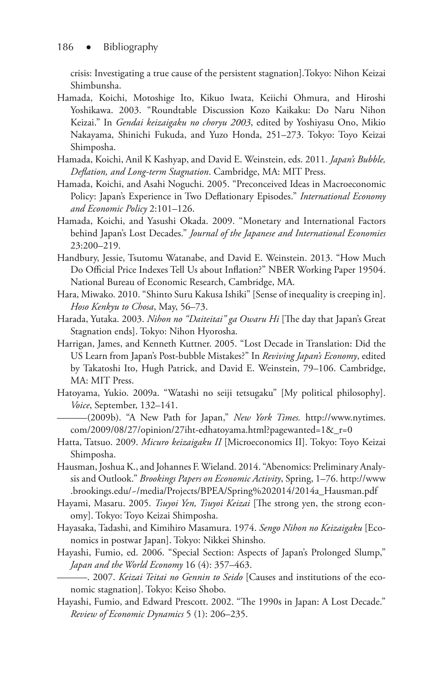crisis: Investigating a true cause of the persistent stagnation].Tokyo: Nihon Keizai Shimbunsha.

- Hamada, Koichi, Motoshige Ito, Kikuo Iwata, Keiichi Ohmura, and Hiroshi Yoshikawa. 2003. "Roundtable Discussion Kozo Kaikaku: Do Naru Nihon Keizai." In *Gendai keizaigaku no choryu 2003*, edited by Yoshiyasu Ono, Mikio Nakayama, Shinichi Fukuda, and Yuzo Honda, 251–273. Tokyo: Toyo Keizai Shimposha.
- Hamada, Koichi, Anil K Kashyap, and David E. Weinstein, eds. 2011. *Japan's Bubble, Deflation, and Long-term Stagnation*. Cambridge, MA: MIT Press.
- Hamada, Koichi, and Asahi Noguchi. 2005. "Preconceived Ideas in Macroeconomic Policy: Japan's Experience in Two Deflationary Episodes." *International Economy and Economic Policy* 2:101–126.
- Hamada, Koichi, and Yasushi Okada. 2009. "Monetary and International Factors behind Japan's Lost Decades." *Journal of the Japanese and International Economies* 23:200–219.
- Handbury, Jessie, Tsutomu Watanabe, and David E. Weinstein. 2013. "How Much Do Official Price Indexes Tell Us about Inflation?" NBER Working Paper 19504. National Bureau of Economic Research, Cambridge, MA.
- Hara, Miwako. 2010. "Shinto Suru Kakusa Ishiki" [Sense of inequality is creeping in]. *Hoso Kenkyu to Chosa*, May, 56–73.
- Harada, Yutaka. 2003. *Nihon no "Daiteitai" ga Owaru Hi* [The day that Japan's Great Stagnation ends]. Tokyo: Nihon Hyorosha.
- Harrigan, James, and Kenneth Kuttner. 2005. "Lost Decade in Translation: Did the US Learn from Japan's Post-bubble Mistakes?" In *Reviving Japan's Economy*, edited by Takatoshi Ito, Hugh Patrick, and David E. Weinstein, 79–106. Cambridge, MA: MIT Press.
- Hatoyama, Yukio. 2009a. "Watashi no seiji tetsugaku" [My political philosophy]. *Voice*, September, 132–141.
	- ———(2009b). "A New Path for Japan," *New York Times.* http://www.nytimes. com/2009/08/27/opinion/27iht-edhatoyama.html?pagewanted=1&\_r=0
- Hatta, Tatsuo. 2009. *Micuro keizaigaku II* [Microeconomics II]. Tokyo: Toyo Keizai Shimposha.
- Hausman, Joshua K., and Johannes F. Wieland. 2014. "Abenomics: Preliminary Analysis and Outlook." *Brookings Papers on Economic Activity*, Spring, 1–76. http://www .brookings.edu/~/media/Projects/BPEA/Spring%202014/2014a\_Hausman.pdf
- Hayami, Masaru. 2005. *Tsuyoi Yen, Tsuyoi Keizai* [The strong yen, the strong economy]. Tokyo: Toyo Keizai Shimposha.
- Hayasaka, Tadashi, and Kimihiro Masamura. 1974. *Sengo Nihon no Keizaigaku* [Economics in postwar Japan]. Tokyo: Nikkei Shinsho.
- Hayashi, Fumio, ed. 2006. "Special Section: Aspects of Japan's Prolonged Slump," *Japan and the World Economy* 16 (4): 357–463.

———. 2007. *Keizai Teitai no Gennin to Seido* [Causes and institutions of the economic stagnation]. Tokyo: Keiso Shobo.

Hayashi, Fumio, and Edward Prescott. 2002. "The 1990s in Japan: A Lost Decade." *Review of Economic Dynamics* 5 (1): 206–235.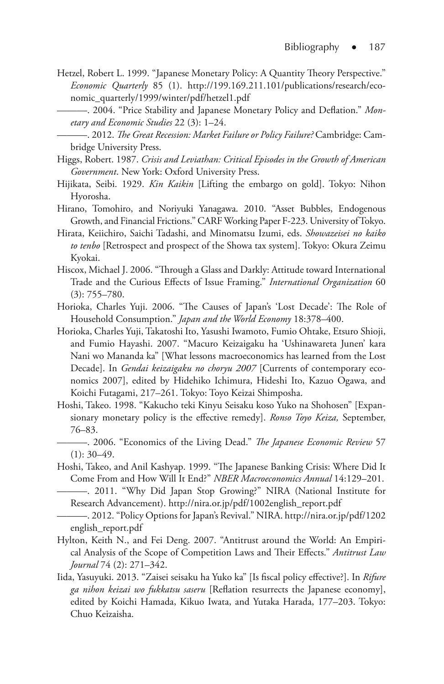- Hetzel, Robert L. 1999. "Japanese Monetary Policy: A Quantity Theory Perspective." *Economic Quarterly* 85 (1). http://199.169.211.101/publications/research/economic\_quarterly/1999/winter/pdf/hetzel1.pdf
	- ———. 2004. "Price Stability and Japanese Monetary Policy and Deflation." *Monetary and Economic Studies* 22 (3): 1–24.
	- ———. 2012. *The Great Recession: Market Failure or Policy Failure?* Cambridge: Cambridge University Press.
- Higgs, Robert. 1987. *Crisis and Leviathan: Critical Episodes in the Growth of American Government*. New York: Oxford University Press.
- Hijikata, Seibi. 1929. *Kin Kaikin* [Lifting the embargo on gold]. Tokyo: Nihon Hyorosha.
- Hirano, Tomohiro, and Noriyuki Yanagawa. 2010. "Asset Bubbles, Endogenous Growth, and Financial Frictions." CARF Working Paper F-223. University of Tokyo.
- Hirata, Keiichiro, Saichi Tadashi, and Minomatsu Izumi, eds. *Showazeisei no kaiko to tenbo* [Retrospect and prospect of the Showa tax system]. Tokyo: Okura Zeimu Kyokai.
- Hiscox, Michael J. 2006. "Through a Glass and Darkly: Attitude toward International Trade and the Curious Effects of Issue Framing." *International Organization* 60 (3): 755–780.
- Horioka, Charles Yuji. 2006. "The Causes of Japan's 'Lost Decade': The Role of Household Consumption." *Japan and the World Economy* 18:378–400.
- Horioka, Charles Yuji, Takatoshi Ito, Yasushi Iwamoto, Fumio Ohtake, Etsuro Shioji, and Fumio Hayashi. 2007. "Macuro Keizaigaku ha 'Ushinawareta Junen' kara Nani wo Mananda ka" [What lessons macroeconomics has learned from the Lost Decade]. In *Gendai keizaigaku no choryu 2007* [Currents of contemporary economics 2007], edited by Hidehiko Ichimura, Hideshi Ito, Kazuo Ogawa, and Koichi Futagami, 217–261. Tokyo: Toyo Keizai Shimposha.
- Hoshi, Takeo. 1998. "Kakucho teki Kinyu Seisaku koso Yuko na Shohosen" [Expansionary monetary policy is the effective remedy]. *Ronso Toyo Keiza,* September, 76–83.
	- ———. 2006. "Economics of the Living Dead." *The Japanese Economic Review* 57  $(1): 30-49.$
- Hoshi, Takeo, and Anil Kashyap. 1999. "The Japanese Banking Crisis: Where Did It Come From and How Will It End?" *NBER Macroeconomics Annual* 14:129–201.
	- ———. 2011. "Why Did Japan Stop Growing?" NIRA (National Institute for Research Advancement). http://nira.or.jp/pdf/1002english\_report.pdf
- ———. 2012. "Policy Options for Japan's Revival." NIRA. http://nira.or.jp/pdf/1202 english\_report.pdf
- Hylton, Keith N., and Fei Deng. 2007. "Antitrust around the World: An Empirical Analysis of the Scope of Competition Laws and Their Effects." *Antitrust Law Journal* 74 (2): 271–342.
- Iida, Yasuyuki. 2013. "Zaisei seisaku ha Yuko ka" [Is fiscal policy effective?]. In *Rifure ga nihon keizai wo fukkatsu saseru* [Reflation resurrects the Japanese economy], edited by Koichi Hamada, Kikuo Iwata, and Yutaka Harada, 177–203. Tokyo: Chuo Keizaisha.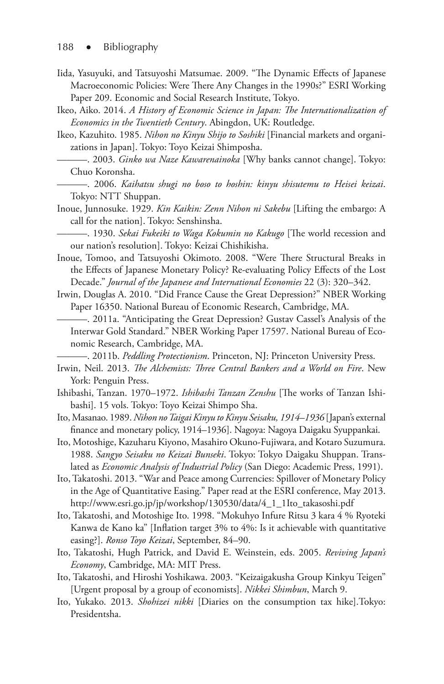- Iida, Yasuyuki, and Tatsuyoshi Matsumae. 2009. "The Dynamic Effects of Japanese Macroeconomic Policies: Were There Any Changes in the 1990s?" ESRI Working Paper 209. Economic and Social Research Institute, Tokyo.
- Ikeo, Aiko. 2014. *A History of Economic Science in Japan: The Internationalization of Economics in the Twentieth Century*. Abingdon, UK: Routledge.
- Ikeo, Kazuhito. 1985. *Nihon no Kinyu Shijo to Soshiki* [Financial markets and organizations in Japan]. Tokyo: Toyo Keizai Shimposha.
	- ———. 2003. *Ginko wa Naze Kawarenainoka* [Why banks cannot change]. Tokyo: Chuo Koronsha.
	- ———. 2006. *Kaihatsu shugi no boso to hoshin: kinyu shisutemu to Heisei keizai*. Tokyo: NTT Shuppan.
- Inoue, Junnosuke. 1929. *Kin Kaikin: Zenn Nihon ni Sakebu* [Lifting the embargo: A call for the nation]. Tokyo: Senshinsha.
- ———. 1930. *Sekai Fukeiki to Waga Kokumin no Kakugo* [The world recession and our nation's resolution]. Tokyo: Keizai Chishikisha.
- Inoue, Tomoo, and Tatsuyoshi Okimoto. 2008. "Were There Structural Breaks in the Effects of Japanese Monetary Policy? Re-evaluating Policy Effects of the Lost Decade." *Journal of the Japanese and International Economies* 22 (3): 320–342.
- Irwin, Douglas A. 2010. "Did France Cause the Great Depression?" NBER Working Paper 16350. National Bureau of Economic Research, Cambridge, MA.
	- ———. 2011a. "Anticipating the Great Depression? Gustav Cassel's Analysis of the Interwar Gold Standard." NBER Working Paper 17597. National Bureau of Economic Research, Cambridge, MA.

———. 2011b. *Peddling Protectionism*. Princeton, NJ: Princeton University Press.

- Irwin, Neil. 2013. *The Alchemists: Three Central Bankers and a World on Fire*. New York: Penguin Press.
- Ishibashi, Tanzan. 1970–1972. *Ishibashi Tanzan Zenshu* [The works of Tanzan Ishibashi]. 15 vols. Tokyo: Toyo Keizai Shimpo Sha.
- Ito, Masanao. 1989. *Nihon no Taigai Kinyu to Kinyu Seisaku, 1914–1936* [Japan's external finance and monetary policy, 1914–1936]. Nagoya: Nagoya Daigaku Syuppankai.
- Ito, Motoshige, Kazuharu Kiyono, Masahiro Okuno-Fujiwara, and Kotaro Suzumura. 1988. *Sangyo Seisaku no Keizai Bunseki*. Tokyo: Tokyo Daigaku Shuppan. Translated as *Economic Analysis of Industrial Policy* (San Diego: Academic Press, 1991).
- Ito, Takatoshi. 2013. "War and Peace among Currencies: Spillover of Monetary Policy in the Age of Quantitative Easing." Paper read at the ESRI conference, May 2013. http://www.esri.go.jp/jp/workshop/130530/data/4\_1\_1Ito\_takasoshi.pdf
- Ito, Takatoshi, and Motoshige Ito. 1998. "Mokuhyo Infure Ritsu 3 kara 4 % Ryoteki Kanwa de Kano ka" [Inflation target 3% to 4%: Is it achievable with quantitative easing?]. *Ronso Toyo Keizai*, September, 84–90.
- Ito, Takatoshi, Hugh Patrick, and David E. Weinstein, eds. 2005. *Reviving Japan's Economy*, Cambridge, MA: MIT Press.
- Ito, Takatoshi, and Hiroshi Yoshikawa. 2003. "Keizaigakusha Group Kinkyu Teigen" [Urgent proposal by a group of economists]. *Nikkei Shimbun*, March 9.
- Ito, Yukako. 2013. *Shohizei nikki* [Diaries on the consumption tax hike].Tokyo: Presidentsha.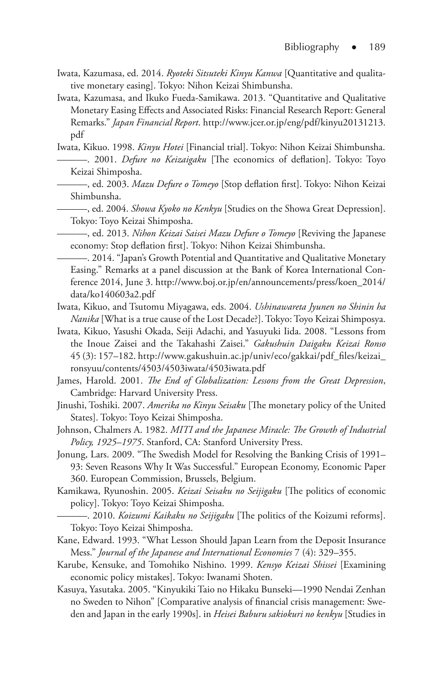- Iwata, Kazumasa, ed. 2014. *Ryoteki Sitsuteki Kinyu Kanwa* [Quantitative and qualitative monetary easing]. Tokyo: Nihon Keizai Shimbunsha.
- Iwata, Kazumasa, and Ikuko Fueda-Samikawa. 2013. "Quantitative and Qualitative Monetary Easing Effects and Associated Risks: Financial Research Report: General Remarks." *Japan Financial Report*. http://www.jcer.or.jp/eng/pdf/kinyu20131213. pdf
- Iwata, Kikuo. 1998. *Kinyu Hotei* [Financial trial]. Tokyo: Nihon Keizai Shimbunsha. ———. 2001. *Defure no Keizaigaku* [The economics of deflation]. Tokyo: Toyo Keizai Shimposha.
	- ———, ed. 2003. *Mazu Defure o Tomeyo* [Stop deflation first]. Tokyo: Nihon Keizai Shimbunsha.
	- ———, ed. 2004. *Showa Kyoko no Kenkyu* [Studies on the Showa Great Depression]. Tokyo: Toyo Keizai Shimposha.
	- ———, ed. 2013. *Nihon Keizai Saisei Mazu Defure o Tomeyo* [Reviving the Japanese economy: Stop deflation first]. Tokyo: Nihon Keizai Shimbunsha.
	- ———. 2014. "Japan's Growth Potential and Quantitative and Qualitative Monetary Easing." Remarks at a panel discussion at the Bank of Korea International Conference 2014, June 3. http://www.boj.or.jp/en/announcements/press/koen\_2014/ data/ko140603a2.pdf
- Iwata, Kikuo, and Tsutomu Miyagawa, eds. 2004. *Ushinawareta Jyunen no Shinin ha Nanika* [What is a true cause of the Lost Decade?]. Tokyo: Toyo Keizai Shimposya.
- Iwata, Kikuo, Yasushi Okada, Seiji Adachi, and Yasuyuki Iida. 2008. "Lessons from the Inoue Zaisei and the Takahashi Zaisei." *Gakushuin Daigaku Keizai Ronso* 45 (3): 157–182. http://www.gakushuin.ac.jp/univ/eco/gakkai/pdf\_files/keizai\_ ronsyuu/contents/4503/4503iwata/4503iwata.pdf
- James, Harold. 2001. *The End of Globalization: Lessons from the Great Depression*, Cambridge: Harvard University Press.
- Jinushi, Toshiki. 2007. *Amerika no Kinyu Seisaku* [The monetary policy of the United States]. Tokyo: Toyo Keizai Shimposha.
- Johnson, Chalmers A. 1982. *MITI and the Japanese Miracle: The Growth of Industrial Policy, 1925–1975*. Stanford, CA: Stanford University Press.
- Jonung, Lars. 2009. "The Swedish Model for Resolving the Banking Crisis of 1991– 93: Seven Reasons Why It Was Successful." European Economy, Economic Paper 360. European Commission, Brussels, Belgium.
- Kamikawa, Ryunoshin. 2005. *Keizai Seisaku no Seijigaku* [The politics of economic policy]. Tokyo: Toyo Keizai Shimposha.
- ———. 2010. *Koizumi Kaikaku no Seijigaku* [The politics of the Koizumi reforms]. Tokyo: Toyo Keizai Shimposha.
- Kane, Edward. 1993. "What Lesson Should Japan Learn from the Deposit Insurance Mess." *Journal of the Japanese and International Economies* 7 (4): 329–355.
- Karube, Kensuke, and Tomohiko Nishino. 1999. *Kensyo Keizai Shissei* [Examining economic policy mistakes]. Tokyo: Iwanami Shoten.
- Kasuya, Yasutaka. 2005. "Kinyukiki Taio no Hikaku Bunseki—1990 Nendai Zenhan no Sweden to Nihon" [Comparative analysis of financial crisis management: Sweden and Japan in the early 1990s]. in *Heisei Baburu sakiokuri no kenkyu* [Studies in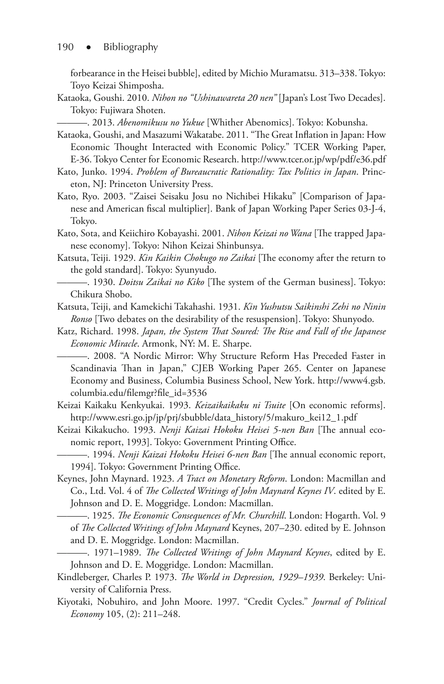forbearance in the Heisei bubble], edited by Michio Muramatsu. 313–338. Tokyo: Toyo Keizai Shimposha.

- Kataoka, Goushi. 2010. *Nihon no "Ushinawareta 20 nen"* [Japan's Lost Two Decades]. Tokyo: Fujiwara Shoten.
	- ———. 2013. *Abenomikusu no Yukue* [Whither Abenomics]. Tokyo: Kobunsha.
- Kataoka, Goushi, and Masazumi Wakatabe. 2011. "The Great Inflation in Japan: How Economic Thought Interacted with Economic Policy." TCER Working Paper, E-36. Tokyo Center for Economic Research. http://www.tcer.or.jp/wp/pdf/e36.pdf
- Kato, Junko. 1994. *Problem of Bureaucratic Rationality: Tax Politics in Japan*. Princeton, NJ: Princeton University Press.
- Kato, Ryo. 2003. "Zaisei Seisaku Josu no Nichibei Hikaku" [Comparison of Japanese and American fiscal multiplier]. Bank of Japan Working Paper Series 03-J-4, Tokyo.
- Kato, Sota, and Keiichiro Kobayashi. 2001. *Nihon Keizai no Wana* [The trapped Japanese economy]. Tokyo: Nihon Keizai Shinbunsya.
- Katsuta, Teiji. 1929. *Kin Kaikin Chokugo no Zaikai* [The economy after the return to the gold standard]. Tokyo: Syunyudo.
- ———. 1930. *Doitsu Zaikai no Kiko* [The system of the German business]. Tokyo: Chikura Shobo.
- Katsuta, Teiji, and Kamekichi Takahashi. 1931. *Kin Yushutsu Saikinshi Zehi no Ninin Ronso* [Two debates on the desirability of the resuspension]. Tokyo: Shunyodo.
- Katz, Richard. 1998. *Japan, the System That Soured: The Rise and Fall of the Japanese Economic Miracle*. Armonk, NY: M. E. Sharpe.

———. 2008. "A Nordic Mirror: Why Structure Reform Has Preceded Faster in Scandinavia Than in Japan," CJEB Working Paper 265. Center on Japanese Economy and Business, Columbia Business School, New York. http://www4.gsb. columbia.edu/filemgr?file\_id=3536

- Keizai Kaikaku Kenkyukai. 1993. *Keizaikaikaku ni Tsuite* [On economic reforms]. http://www.esri.go.jp/jp/prj/sbubble/data\_history/5/makuro\_kei12\_1.pdf
- Keizai Kikakucho. 1993. *Nenji Kaizai Hokoku Heisei 5-nen Ban* [The annual economic report, 1993]. Tokyo: Government Printing Office.
	- ———. 1994. *Nenji Kaizai Hokoku Heisei 6-nen Ban* [The annual economic report, 1994]. Tokyo: Government Printing Office.
- Keynes, John Maynard. 1923. *A Tract on Monetary Reform*. London: Macmillan and Co., Ltd. Vol. 4 of *The Collected Writings of John Maynard Keynes IV*. edited by E. Johnson and D. E. Moggridge. London: Macmillan.
- ———. 1925. *The Economic Consequences of Mr. Churchill*. London: Hogarth. Vol. 9 of *The Collected Writings of John Maynard* Keynes, 207–230. edited by E. Johnson and D. E. Moggridge. London: Macmillan.

———. 1971–1989. *The Collected Writings of John Maynard Keynes*, edited by E. Johnson and D. E. Moggridge. London: Macmillan.

- Kindleberger, Charles P. 1973. *The World in Depression, 1929–1939*. Berkeley: University of California Press.
- Kiyotaki, Nobuhiro, and John Moore. 1997. "Credit Cycles." *Journal of Political Economy* 105, (2): 211–248.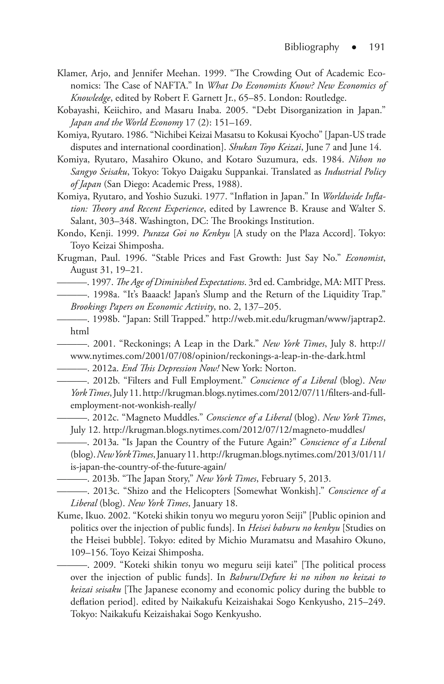- Klamer, Arjo, and Jennifer Meehan. 1999. "The Crowding Out of Academic Economics: The Case of NAFTA." In *What Do Economists Know? New Economics of Knowledge*, edited by Robert F. Garnett Jr., 65–85. London: Routledge.
- Kobayashi, Keiichiro, and Masaru Inaba. 2005. "Debt Disorganization in Japan." *Japan and the World Economy* 17 (2): 151–169.
- Komiya, Ryutaro. 1986. "Nichibei Keizai Masatsu to Kokusai Kyocho" [Japan-US trade disputes and international coordination]. *Shukan Toyo Keizai*, June 7 and June 14.
- Komiya, Ryutaro, Masahiro Okuno, and Kotaro Suzumura, eds. 1984. *Nihon no Sangyo Seisaku*, Tokyo: Tokyo Daigaku Suppankai. Translated as *Industrial Policy of Japan* (San Diego: Academic Press, 1988).
- Komiya, Ryutaro, and Yoshio Suzuki. 1977. "Inflation in Japan." In *Worldwide Inflation: Theory and Recent Experience*, edited by Lawrence B. Krause and Walter S. Salant, 303–348. Washington, DC: The Brookings Institution.
- Kondo, Kenji. 1999. *Puraza Goi no Kenkyu* [A study on the Plaza Accord]. Tokyo: Toyo Keizai Shimposha.
- Krugman, Paul. 1996. "Stable Prices and Fast Growth: Just Say No." *Economist*, August 31, 19–21.
- ———. 1997. *The Age of Diminished Expectations*. 3rd ed. Cambridge, MA: MIT Press. ———. 1998a. "It's Baaack! Japan's Slump and the Return of the Liquidity Trap." *Brookings Papers on Economic Activity*, no. 2, 137–205.
- ———. 1998b. "Japan: Still Trapped." http://web.mit.edu/krugman/www/japtrap2. html

———. 2001. "Reckonings; A Leap in the Dark." *New York Times*, July 8. http:// www.nytimes.com/2001/07/08/opinion/reckonings-a-leap-in-the-dark.html

———. 2012a. *End This Depression Now!* New York: Norton.

———. 2012b. "Filters and Full Employment." *Conscience of a Liberal* (blog). *New York Times*, July 11. http://krugman.blogs.nytimes.com/2012/07/11/filters-and-fullemployment-not-wonkish-really/

———. 2012c. "Magneto Muddles." *Conscience of a Liberal* (blog). *New York Times*, July 12. http://krugman.blogs.nytimes.com/2012/07/12/magneto-muddles/

———. 2013a. "Is Japan the Country of the Future Again?" *Conscience of a Liberal* (blog). *New York Times*, January 11. http://krugman.blogs.nytimes.com/2013/01/11/ is-japan-the-country-of-the-future-again/

———. 2013b. "The Japan Story," *New York Times*, February 5, 2013.

———. 2013c. "Shizo and the Helicopters [Somewhat Wonkish]." *Conscience of a Liberal* (blog). *New York Times*, January 18.

Kume, Ikuo. 2002. "Koteki shikin tonyu wo meguru yoron Seiji" [Public opinion and politics over the injection of public funds]. In *Heisei baburu no kenkyu* [Studies on the Heisei bubble]. Tokyo: edited by Michio Muramatsu and Masahiro Okuno, 109–156. Toyo Keizai Shimposha.

———. 2009. "Koteki shikin tonyu wo meguru seiji katei" [The political process over the injection of public funds]. In *Baburu/Defure ki no nihon no keizai to keizai seisaku* [The Japanese economy and economic policy during the bubble to deflation period]. edited by Naikakufu Keizaishakai Sogo Kenkyusho, 215–249. Tokyo: Naikakufu Keizaishakai Sogo Kenkyusho.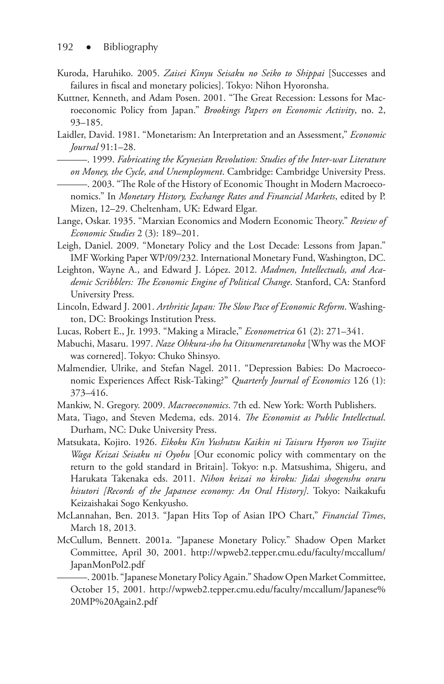- Kuroda, Haruhiko. 2005. *Zaisei Kinyu Seisaku no Seiko to Shippai* [Successes and failures in fiscal and monetary policies]. Tokyo: Nihon Hyoronsha.
- Kuttner, Kenneth, and Adam Posen. 2001. "The Great Recession: Lessons for Macroeconomic Policy from Japan." *Brookings Papers on Economic Activity*, no. 2, 93–185.
- Laidler, David. 1981. "Monetarism: An Interpretation and an Assessment," *Economic Journal* 91:1–28.
	- ———. 1999. *Fabricating the Keynesian Revolution: Studies of the Inter-war Literature on Money, the Cycle, and Unemployment*. Cambridge: Cambridge University Press.
- ———. 2003. "The Role of the History of Economic Thought in Modern Macroeconomics." In *Monetary History, Exchange Rates and Financial Markets*, edited by P. Mizen, 12–29. Cheltenham, UK: Edward Elgar.
- Lange, Oskar. 1935. "Marxian Economics and Modern Economic Theory." *Review of Economic Studies* 2 (3): 189–201.
- Leigh, Daniel. 2009. "Monetary Policy and the Lost Decade: Lessons from Japan." IMF Working Paper WP/09/232. International Monetary Fund, Washington, DC.
- Leighton, Wayne A., and Edward J. López. 2012. *Madmen, Intellectuals, and Academic Scribblers: The Economic Engine of Political Change*. Stanford, CA: Stanford University Press.
- Lincoln, Edward J. 2001. *Arthritic Japan: The Slow Pace of Economic Reform*. Washington, DC: Brookings Institution Press.
- Lucas, Robert E., Jr. 1993. "Making a Miracle," *Econometrica* 61 (2): 271–341.
- Mabuchi, Masaru. 1997. *Naze Ohkura-sho ha Oitsumeraretanoka* [Why was the MOF was cornered]. Tokyo: Chuko Shinsyo.
- Malmendier, Ulrike, and Stefan Nagel. 2011. "Depression Babies: Do Macroeconomic Experiences Affect Risk-Taking?" *Quarterly Journal of Economics* 126 (1): 373–416.
- Mankiw, N. Gregory. 2009. *Macroeconomics*. 7th ed. New York: Worth Publishers.
- Mata, Tiago, and Steven Medema, eds. 2014. *The Economist as Public Intellectual*. Durham, NC: Duke University Press.
- Matsukata, Kojiro. 1926. *Eikoku Kin Yushutsu Kaikin ni Taisuru Hyoron wo Tsujite Waga Keizai Seisaku ni Oyobu* [Our economic policy with commentary on the return to the gold standard in Britain]. Tokyo: n.p. Matsushima, Shigeru, and Harukata Takenaka eds. 2011. *Nihon keizai no kiroku: Jidai shogenshu oraru hisutori [Records of the Japanese economy: An Oral History]*. Tokyo: Naikakufu Keizaishakai Sogo Kenkyusho.
- McLannahan, Ben. 2013. "Japan Hits Top of Asian IPO Chart," *Financial Times*, March 18, 2013.
- McCullum, Bennett. 2001a. "Japanese Monetary Policy." Shadow Open Market Committee, April 30, 2001. http://wpweb2.tepper.cmu.edu/faculty/mccallum/ JapanMonPol2.pdf

———. 2001b. "Japanese Monetary Policy Again." Shadow Open Market Committee, October 15, 2001. http://wpweb2.tepper.cmu.edu/faculty/mccallum/Japanese% 20MP%20Again2.pdf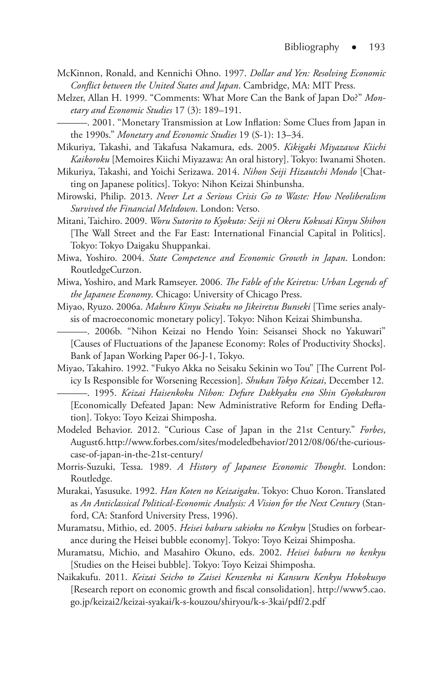- McKinnon, Ronald, and Kennichi Ohno. 1997. *Dollar and Yen: Resolving Economic Conflict between the United States and Japan*. Cambridge, MA: MIT Press.
- Melzer, Allan H. 1999. "Comments: What More Can the Bank of Japan Do?" *Monetary and Economic Studies* 17 (3): 189–191.
- ———. 2001. "Monetary Transmission at Low Inflation: Some Clues from Japan in the 1990s." *Monetary and Economic Studies* 19 (S-1): 13–34.
- Mikuriya, Takashi, and Takafusa Nakamura, eds. 2005. *Kikigaki Miyazawa Kiichi Kaikoroku* [Memoires Kiichi Miyazawa: An oral history]. Tokyo: Iwanami Shoten.
- Mikuriya, Takashi, and Yoichi Serizawa. 2014. *Nihon Seiji Hizautchi Mondo* [Chatting on Japanese politics]. Tokyo: Nihon Keizai Shinbunsha.
- Mirowski, Philip. 2013. *Never Let a Serious Crisis Go to Waste: How Neoliberalism Survived the Financial Meltdown*. London: Verso.
- Mitani, Taichiro. 2009. *Woru Sutorito to Kyokuto: Seiji ni Okeru Kokusai Kinyu Shihon*  [The Wall Street and the Far East: International Financial Capital in Politics]. Tokyo: Tokyo Daigaku Shuppankai.
- Miwa, Yoshiro. 2004. *State Competence and Economic Growth in Japan*. London: RoutledgeCurzon.
- Miwa, Yoshiro, and Mark Ramseyer. 2006. *The Fable of the Keiretsu: Urban Legends of the Japanese Economy*. Chicago: University of Chicago Press.
- Miyao, Ryuzo. 2006a. *Makuro Kinyu Seisaku no Jikeiretsu Bunseki* [Time series analysis of macroeconomic monetary policy]. Tokyo: Nihon Keizai Shimbunsha.

———. 2006b. "Nihon Keizai no Hendo Yoin: Seisansei Shock no Yakuwari" [Causes of Fluctuations of the Japanese Economy: Roles of Productivity Shocks]. Bank of Japan Working Paper 06-J-1, Tokyo.

Miyao, Takahiro. 1992. "Fukyo Akka no Seisaku Sekinin wo Tou" [The Current Policy Is Responsible for Worsening Recession]. *Shukan Tokyo Keizai*, December 12.

———. 1995. *Keizai Haisenkoku Nihon: Defure Dakkyaku eno Shin Gyokakuron* [Economically Defeated Japan: New Administrative Reform for Ending Deflation]. Tokyo: Toyo Keizai Shimposha.

- Modeled Behavior. 2012. "Curious Case of Japan in the 21st Century." *Forbes*, August 6. http://www.forbes.com/sites/modeledbehavior/2012/08/06/the-curiouscase-of-japan-in-the-21st-century/
- Morris-Suzuki, Tessa. 1989. *A History of Japanese Economic Thought*. London: Routledge.
- Murakai, Yasusuke. 1992. *Han Koten no Keizaigaku*. Tokyo: Chuo Koron. Translated as *An Anticlassical Political-Economic Analysis: A Vision for the Next Century* (Stanford, CA: Stanford University Press, 1996).
- Muramatsu, Mithio, ed. 2005. *Heisei baburu sakioku no Kenkyu* [Studies on forbearance during the Heisei bubble economy]. Tokyo: Toyo Keizai Shimposha.
- Muramatsu, Michio, and Masahiro Okuno, eds. 2002. *Heisei baburu no kenkyu* [Studies on the Heisei bubble]. Tokyo: Toyo Keizai Shimposha.
- Naikakufu. 2011. *Keizai Seicho to Zaisei Kenzenka ni Kansuru Kenkyu Hokokusyo* [Research report on economic growth and fiscal consolidation]. http://www5.cao. go.jp/keizai2/keizai-syakai/k-s-kouzou/shiryou/k-s-3kai/pdf/2.pdf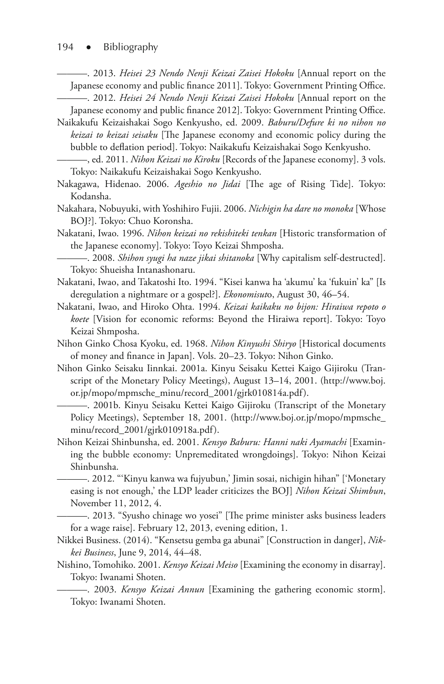#### 194 · Bibliography

———. 2013. *Heisei 23 Nendo Nenji Keizai Zaisei Hokoku* [Annual report on the Japanese economy and public finance 2011]. Tokyo: Government Printing Office.

———. 2012. *Heisei 24 Nendo Nenji Keizai Zaisei Hokoku* [Annual report on the Japanese economy and public finance 2012]. Tokyo: Government Printing Office.

- Naikakufu Keizaishakai Sogo Kenkyusho, ed. 2009. *Baburu/Defure ki no nihon no keizai to keizai seisaku* [The Japanese economy and economic policy during the bubble to deflation period]. Tokyo: Naikakufu Keizaishakai Sogo Kenkyusho.
	- ———, ed. 2011. *Nihon Keizai no Kiroku* [Records of the Japanese economy]. 3 vols. Tokyo: Naikakufu Keizaishakai Sogo Kenkyusho.
- Nakagawa, Hidenao. 2006. *Ageshio no Jidai* [The age of Rising Tide]. Tokyo: Kodansha.
- Nakahara, Nobuyuki, with Yoshihiro Fujii. 2006. *Nichigin ha dare no monoka* [Whose BOJ?]. Tokyo: Chuo Koronsha.
- Nakatani, Iwao. 1996. *Nihon keizai no rekishiteki tenkan* [Historic transformation of the Japanese economy]. Tokyo: Toyo Keizai Shmposha.
- ———. 2008. *Shihon syugi ha naze jikai shitanoka* [Why capitalism self-destructed]. Tokyo: Shueisha Intanashonaru.
- Nakatani, Iwao, and Takatoshi Ito. 1994. "Kisei kanwa ha 'akumu' ka 'fukuin' ka" [Is deregulation a nightmare or a gospel?]. *Ekonomisut*o, August 30, 46–54.
- Nakatani, Iwao, and Hiroko Ohta. 1994. *Keizai kaikaku no bijon: Hiraiwa repoto o koete* [Vision for economic reforms: Beyond the Hiraiwa report]. Tokyo: Toyo Keizai Shmposha.
- Nihon Ginko Chosa Kyoku, ed. 1968. *Nihon Kinyushi Shiryo* [Historical documents of money and finance in Japan]. Vols. 20–23. Tokyo: Nihon Ginko.
- Nihon Ginko Seisaku Iinnkai. 2001a. Kinyu Seisaku Kettei Kaigo Gijiroku (Transcript of the Monetary Policy Meetings), August 13–14, 2001. (http://www.boj. or.jp/mopo/mpmsche\_minu/record\_2001/gjrk010814a.pdf).

———. 2001b. Kinyu Seisaku Kettei Kaigo Gijiroku (Transcript of the Monetary Policy Meetings), September 18, 2001. (http://www.boj.or.jp/mopo/mpmsche\_ minu/record\_2001/gjrk010918a.pdf).

Nihon Keizai Shinbunsha, ed. 2001. *Kensyo Baburu: Hanni naki Ayamachi* [Examining the bubble economy: Unpremeditated wrongdoings]. Tokyo: Nihon Keizai Shinbunsha.

———. 2012. "'Kinyu kanwa wa fujyubun,' Jimin sosai, nichigin hihan" ['Monetary easing is not enough,' the LDP leader criticizes the BOJ] *Nihon Keizai Shimbun*, November 11, 2012, 4.

———. 2013. "Syusho chinage wo yosei" [The prime minister asks business leaders for a wage raise]. February 12, 2013, evening edition, 1.

- Nikkei Business. (2014). "Kensetsu gemba ga abunai" [Construction in danger], *Nikkei Business*, June 9, 2014, 44–48.
- Nishino, Tomohiko. 2001. *Kensyo Keizai Meiso* [Examining the economy in disarray]. Tokyo: Iwanami Shoten.

———. 2003. *Kensyo Keizai Annun* [Examining the gathering economic storm]. Tokyo: Iwanami Shoten.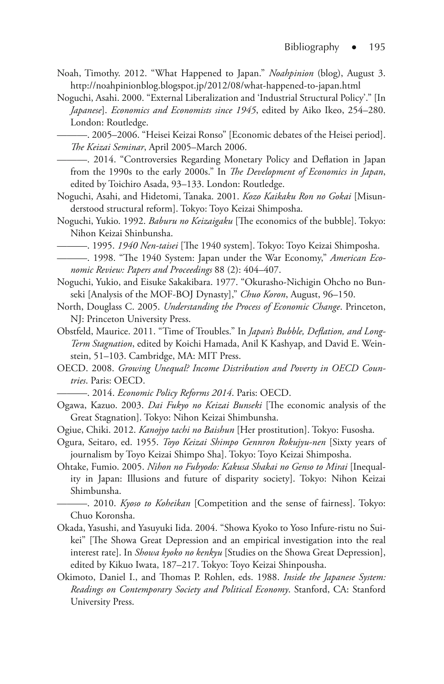- Noah, Timothy. 2012. "What Happened to Japan." *Noahpinion* (blog), August 3. http://noahpinionblog.blogspot.jp/2012/08/what-happened-to-japan.html
- Noguchi, Asahi. 2000. "External Liberalization and 'Industrial Structural Policy'." [In *Japanese*]. *Economics and Economists since 1945*, edited by Aiko Ikeo, 254–280. London: Routledge.

———. 2005–2006. "Heisei Keizai Ronso" [Economic debates of the Heisei period]. *The Keizai Seminar*, April 2005–March 2006.

———. 2014. "Controversies Regarding Monetary Policy and Deflation in Japan from the 1990s to the early 2000s." In *The Development of Economics in Japan*, edited by Toichiro Asada, 93–133. London: Routledge.

- Noguchi, Asahi, and Hidetomi, Tanaka. 2001. *Kozo Kaikaku Ron no Gokai* [Misunderstood structural reform]. Tokyo: Toyo Keizai Shimposha.
- Noguchi, Yukio. 1992. *Baburu no Keizaigaku* [The economics of the bubble]. Tokyo: Nihon Keizai Shinbunsha.
- ———. 1995. *1940 Nen-taisei* [The 1940 system]. Tokyo: Toyo Keizai Shimposha.
- ———. 1998. "The 1940 System: Japan under the War Economy," *American Economic Review: Papers and Proceedings* 88 (2): 404–407.
- Noguchi, Yukio, and Eisuke Sakakibara. 1977. "Okurasho-Nichigin Ohcho no Bunseki [Analysis of the MOF-BOJ Dynasty]," *Chuo Koron*, August, 96–150.
- North, Douglass C. 2005. *Understanding the Process of Economic Change*. Princeton, NJ: Princeton University Press.
- Obstfeld, Maurice. 2011. "Time of Troubles." In *Japan's Bubble, Deflation, and Long-Term Stagnation*, edited by Koichi Hamada, Anil K Kashyap, and David E. Weinstein, 51–103. Cambridge, MA: MIT Press.
- OECD. 2008. *Growing Unequal? Income Distribution and Poverty in OECD Countries*. Paris: OECD.

———. 2014. *Economic Policy Reforms 2014*. Paris: OECD.

- Ogawa, Kazuo. 2003. *Dai Fukyo no Keizai Bunseki* [The economic analysis of the Great Stagnation]. Tokyo: Nihon Keizai Shimbunsha.
- Ogiue, Chiki. 2012. *Kanojyo tachi no Baishun* [Her prostitution]. Tokyo: Fusosha.
- Ogura, Seitaro, ed. 1955. *Toyo Keizai Shimpo Gennron Rokujyu-nen* [Sixty years of journalism by Toyo Keizai Shimpo Sha]. Tokyo: Toyo Keizai Shimposha.
- Ohtake, Fumio. 2005. *Nihon no Fubyodo: Kakusa Shakai no Genso to Mirai* [Inequality in Japan: Illusions and future of disparity society]. Tokyo: Nihon Keizai Shimbunsha.
- ———. 2010. *Kyoso to Koheikan* [Competition and the sense of fairness]. Tokyo: Chuo Koronsha.
- Okada, Yasushi, and Yasuyuki Iida. 2004. "Showa Kyoko to Yoso Infure-ristu no Suikei" [The Showa Great Depression and an empirical investigation into the real interest rate]. In *Showa kyoko no kenkyu* [Studies on the Showa Great Depression], edited by Kikuo Iwata, 187–217. Tokyo: Toyo Keizai Shinpousha.
- Okimoto, Daniel I., and Thomas P. Rohlen, eds. 1988. *Inside the Japanese System: Readings on Contemporary Society and Political Economy*. Stanford, CA: Stanford University Press.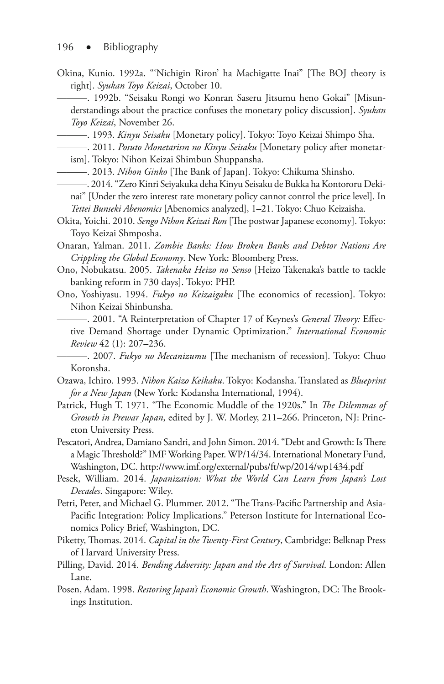Okina, Kunio. 1992a. "'Nichigin Riron' ha Machigatte Inai" [The BOJ theory is right]. *Syukan Toyo Keizai*, October 10.

———. 1992b. "Seisaku Rongi wo Konran Saseru Jitsumu heno Gokai" [Misunderstandings about the practice confuses the monetary policy discussion]. *Syukan Toyo Keizai*, November 26.

———. 1993. *Kinyu Seisaku* [Monetary policy]. Tokyo: Toyo Keizai Shimpo Sha.

———. 2011. *Posuto Monetarism no Kinyu Seisaku* [Monetary policy after monetar-

ism]. Tokyo: Nihon Keizai Shimbun Shuppansha.

- ———. 2013. *Nihon Ginko* [The Bank of Japan]. Tokyo: Chikuma Shinsho.
- ———. 2014. "Zero Kinri Seiyakuka deha Kinyu Seisaku de Bukka ha Kontororu Dekinai" [Under the zero interest rate monetary policy cannot control the price level]. In *Tettei Bunseki Abenomics* [Abenomics analyzed], 1–21. Tokyo: Chuo Keizaisha.
- Okita, Yoichi. 2010. *Sengo Nihon Keizai Ron* [The postwar Japanese economy]. Tokyo: Toyo Keizai Shmposha.

Onaran, Yalman. 2011. *Zombie Banks: How Broken Banks and Debtor Nations Are Crippling the Global Economy*. New York: Bloomberg Press.

- Ono, Nobukatsu. 2005. *Takenaka Heizo no Senso* [Heizo Takenaka's battle to tackle banking reform in 730 days]. Tokyo: PHP.
- Ono, Yoshiyasu. 1994. *Fukyo no Keizaigaku* [The economics of recession]. Tokyo: Nihon Keizai Shinbunsha.

———. 2001. "A Reinterpretation of Chapter 17 of Keynes's *General Theory:* Effective Demand Shortage under Dynamic Optimization." *International Economic Review* 42 (1): 207–236.

———. 2007. *Fukyo no Mecanizumu* [The mechanism of recession]. Tokyo: Chuo Koronsha.

- Ozawa, Ichiro. 1993. *Nihon Kaizo Keikaku*. Tokyo: Kodansha. Translated as *Blueprint for a New Japan* (New York: Kodansha International, 1994).
- Patrick, Hugh T. 1971. "The Economic Muddle of the 1920s." In *The Dilemmas of Growth in Prewar Japan*, edited by J. W. Morley, 211–266. Princeton, NJ: Princeton University Press.
- Pescatori, Andrea, Damiano Sandri, and John Simon. 2014. "Debt and Growth: Is There a Magic Threshold?" IMF Working Paper. WP/14/34. International Monetary Fund, Washington, DC. http://www.imf.org/external/pubs/ft/wp/2014/wp1434.pdf
- Pesek, William. 2014. *Japanization: What the World Can Learn from Japan's Lost Decades*. Singapore: Wiley.
- Petri, Peter, and Michael G. Plummer. 2012. "The Trans-Pacific Partnership and Asia-Pacific Integration: Policy Implications." Peterson Institute for International Economics Policy Brief, Washington, DC.
- Piketty, Thomas. 2014. *Capital in the Twenty-First Century*, Cambridge: Belknap Press of Harvard University Press.
- Pilling, David. 2014. *Bending Adversity: Japan and the Art of Survival*. London: Allen Lane.
- Posen, Adam. 1998. *Restoring Japan's Economic Growth*. Washington, DC: The Brookings Institution.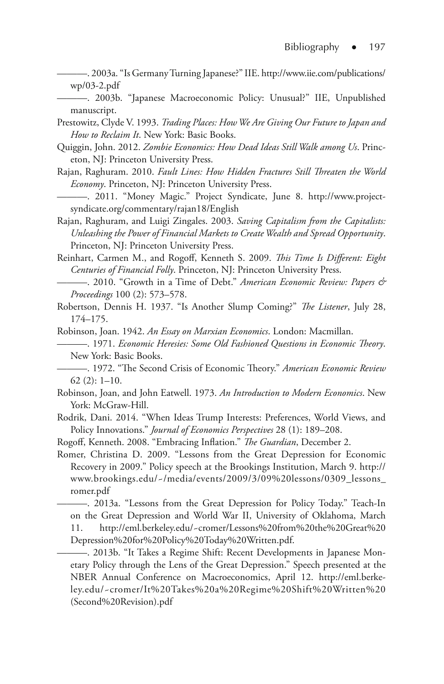———. 2003a. "Is Germany Turning Japanese?" IIE. http://www.iie.com/publications/ wp/03-2.pdf

———. 2003b. "Japanese Macroeconomic Policy: Unusual?" IIE, Unpublished manuscript.

- Prestowitz, Clyde V. 1993. *Trading Places: How We Are Giving Our Future to Japan and How to Reclaim It*. New York: Basic Books.
- Quiggin, John. 2012. *Zombie Economics: How Dead Ideas Still Walk among Us*. Princeton, NJ: Princeton University Press.
- Rajan, Raghuram. 2010. *Fault Lines: How Hidden Fractures Still Threaten the World Economy*. Princeton, NJ: Princeton University Press.
- ———. 2011. "Money Magic." Project Syndicate, June 8. http://www.projectsyndicate.org/commentary/rajan18/English
- Rajan, Raghuram, and Luigi Zingales. 2003. *Saving Capitalism from the Capitalists: Unleashing the Power of Financial Markets to Create Wealth and Spread Opportunity*. Princeton, NJ: Princeton University Press.
- Reinhart, Carmen M., and Rogoff, Kenneth S. 2009. *This Time Is Different: Eight Centuries of Financial Folly*. Princeton, NJ: Princeton University Press.
- ———. 2010. "Growth in a Time of Debt." *American Economic Review: Papers & Proceedings* 100 (2): 573–578.
- Robertson, Dennis H. 1937. "Is Another Slump Coming?" *The Listener*, July 28, 174–175.
- Robinson, Joan. 1942. *An Essay on Marxian Economics*. London: Macmillan.
- ———. 1971. *Economic Heresies: Some Old Fashioned Questions in Economic Theory*. New York: Basic Books.
	- ———. 1972. "The Second Crisis of Economic Theory." *American Economic Review* 62 (2): 1–10.
- Robinson, Joan, and John Eatwell. 1973. *An Introduction to Modern Economics*. New York: McGraw-Hill.
- Rodrik, Dani. 2014. "When Ideas Trump Interests: Preferences, World Views, and Policy Innovations." *Journal of Economics Perspectives* 28 (1): 189–208.
- Rogoff, Kenneth. 2008. "Embracing Inflation." *The Guardian*, December 2.
- Romer, Christina D. 2009. "Lessons from the Great Depression for Economic Recovery in 2009." Policy speech at the Brookings Institution, March 9. http:// www.brookings.edu/~/media/events/2009/3/09%20lessons/0309\_lessons\_ romer.pdf
	- ———. 2013a. "Lessons from the Great Depression for Policy Today." Teach-In on the Great Depression and World War II, University of Oklahoma, March 11. http://eml.berkeley.edu/~cromer/Lessons%20from%20the%20Great%20 Depression%20for%20Policy%20Today%20Written.pdf.

———. 2013b. "It Takes a Regime Shift: Recent Developments in Japanese Monetary Policy through the Lens of the Great Depression." Speech presented at the NBER Annual Conference on Macroeconomics, April 12. http://eml.berkeley.edu/~cromer/It%20Takes%20a%20Regime%20Shift%20Written%20 (Second%20Revision).pdf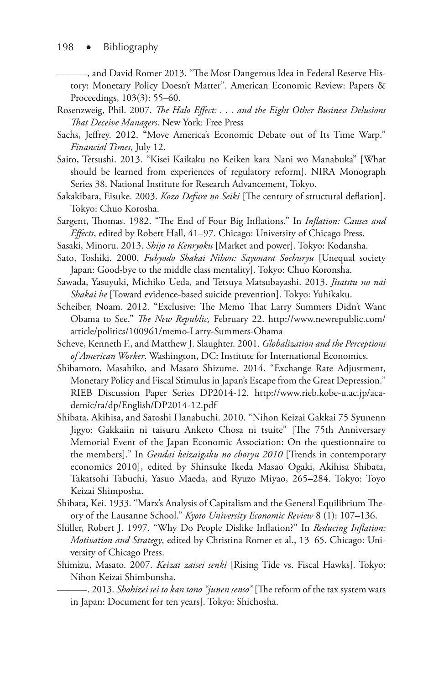———, and David Romer 2013. "The Most Dangerous Idea in Federal Reserve History: Monetary Policy Doesn't Matter". American Economic Review: Papers & Proceedings, 103(3): 55–60.

- Rosenzweig, Phil. 2007. *The Halo Effect: . . . and the Eight Other Business Delusions That Deceive Managers*. New York: Free Press
- Sachs, Jeffrey. 2012. "Move America's Economic Debate out of Its Time Warp." *Financial Times*, July 12.
- Saito, Tetsushi. 2013. "Kisei Kaikaku no Keiken kara Nani wo Manabuka" [What should be learned from experiences of regulatory reform]. NIRA Monograph Series 38. National Institute for Research Advancement, Tokyo.
- Sakakibara, Eisuke. 2003. *Kozo Defure no Seiki* [The century of structural deflation]. Tokyo: Chuo Korosha.
- Sargent, Thomas. 1982. "The End of Four Big Inflations." In *Inflation: Causes and Effects*, edited by Robert Hall, 41–97. Chicago: University of Chicago Press.
- Sasaki, Minoru. 2013. *Shijo to Kenryoku* [Market and power]. Tokyo: Kodansha.
- Sato, Toshiki. 2000. *Fubyodo Shakai Nihon: Sayonara Sochuryu* [Unequal society Japan: Good-bye to the middle class mentality]. Tokyo: Chuo Koronsha.
- Sawada, Yasuyuki, Michiko Ueda, and Tetsuya Matsubayashi. 2013. *Jisatstu no nai Shakai he* [Toward evidence-based suicide prevention]. Tokyo: Yuhikaku.
- Scheiber, Noam. 2012. "Exclusive: The Memo That Larry Summers Didn't Want Obama to See." *The New Republic,* February 22. http://www.newrepublic.com/ article/politics/100961/memo-Larry-Summers-Obama
- Scheve, Kenneth F., and Matthew J. Slaughter. 2001. *Globalization and the Perceptions of American Worker*. Washington, DC: Institute for International Economics.
- Shibamoto, Masahiko, and Masato Shizume. 2014. "Exchange Rate Adjustment, Monetary Policy and Fiscal Stimulus in Japan's Escape from the Great Depression." RIEB Discussion Paper Series DP2014-12. http://www.rieb.kobe-u.ac.jp/academic/ra/dp/English/DP2014-12.pdf
- Shibata, Akihisa, and Satoshi Hanabuchi. 2010. "Nihon Keizai Gakkai 75 Syunenn Jigyo: Gakkaiin ni taisuru Anketo Chosa ni tsuite" [The 75th Anniversary Memorial Event of the Japan Economic Association: On the questionnaire to the members]." In *Gendai keizaigaku no choryu 2010* [Trends in contemporary economics 2010], edited by Shinsuke Ikeda Masao Ogaki, Akihisa Shibata, Takatsohi Tabuchi, Yasuo Maeda, and Ryuzo Miyao, 265–284. Tokyo: Toyo Keizai Shimposha.
- Shibata, Kei. 1933. "Marx's Analysis of Capitalism and the General Equilibrium Theory of the Lausanne School." *Kyoto University Economic Review* 8 (1): 107–136.
- Shiller, Robert J. 1997. "Why Do People Dislike Inflation?" In *Reducing Inflation: Motivation and Strategy*, edited by Christina Romer et al., 13–65. Chicago: University of Chicago Press.
- Shimizu, Masato. 2007. *Keizai zaisei senki* [Rising Tide vs. Fiscal Hawks]. Tokyo: Nihon Keizai Shimbunsha.

———. 2013. *Shohizei sei to kan tono "junen senso"* [The reform of the tax system wars in Japan: Document for ten years]. Tokyo: Shichosha.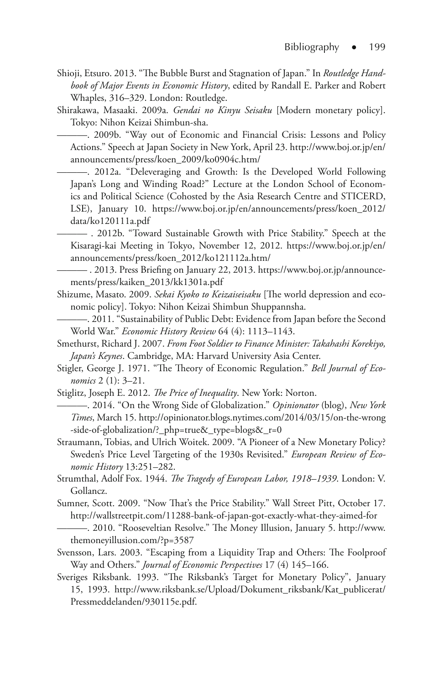- Shioji, Etsuro. 2013. "The Bubble Burst and Stagnation of Japan." In *Routledge Handbook of Major Events in Economic History*, edited by Randall E. Parker and Robert Whaples, 316–329. London: Routledge.
- Shirakawa, Masaaki. 2009a. *Gendai no Kinyu Seisaku* [Modern monetary policy]. Tokyo: Nihon Keizai Shimbun-sha.

———. 2009b. "Way out of Economic and Financial Crisis: Lessons and Policy Actions." Speech at Japan Society in New York, April 23. http://www.boj.or.jp/en/ announcements/press/koen\_2009/ko0904c.htm/

———. 2012a. "Deleveraging and Growth: Is the Developed World Following Japan's Long and Winding Road?" Lecture at the London School of Economics and Political Science (Cohosted by the Asia Research Centre and STICERD, LSE), January 10. https://www.boj.or.jp/en/announcements/press/koen\_2012/ data/ko120111a.pdf

——— . 2012b. "Toward Sustainable Growth with Price Stability." Speech at the Kisaragi-kai Meeting in Tokyo, November 12, 2012. https://www.boj.or.jp/en/ announcements/press/koen\_2012/ko121112a.htm/

——— . 2013. Press Briefing on January 22, 2013. https://www.boj.or.jp/announcements/press/kaiken\_2013/kk1301a.pdf

Shizume, Masato. 2009. *Sekai Kyoko to Keizaiseisaku* [The world depression and economic policy]. Tokyo: Nihon Keizai Shimbun Shuppannsha.

———. 2011. "Sustainability of Public Debt: Evidence from Japan before the Second World War." *Economic History Review* 64 (4): 1113–1143.

Smethurst, Richard J. 2007. *From Foot Soldier to Finance Minister: Takahashi Korekiyo, Japan's Keynes*. Cambridge, MA: Harvard University Asia Center.

- Stigler, George J. 1971. "The Theory of Economic Regulation." *Bell Journal of Economics* 2 (1): 3–21.
- Stiglitz, Joseph E. 2012. *The Price of Inequality*. New York: Norton.
- ———. 2014. "On the Wrong Side of Globalization." *Opinionator* (blog), *New York Times*, March 15. http://opinionator.blogs.nytimes.com/2014/03/15/on-the-wrong -side-of-globalization/?\_php=true&\_type=blogs&\_r=0
- Straumann, Tobias, and Ulrich Woitek. 2009. "A Pioneer of a New Monetary Policy? Sweden's Price Level Targeting of the 1930s Revisited." *European Review of Economic History* 13:251–282.
- Strumthal, Adolf Fox. 1944. *The Tragedy of European Labor, 1918–1939*. London: V. Gollancz.
- Sumner, Scott. 2009. "Now That's the Price Stability." Wall Street Pitt, October 17. http://wallstreetpit.com/11288-bank-of-japan-got-exactly-what-they-aimed-for
	- ———. 2010. "Rooseveltian Resolve." The Money Illusion, January 5. http://www. themoneyillusion.com/?p=3587
- Svensson, Lars. 2003. "Escaping from a Liquidity Trap and Others: The Foolproof Way and Others." *Journal of Economic Perspectives* 17 (4) 145–166.
- Sveriges Riksbank. 1993. "The Riksbank's Target for Monetary Policy", January 15, 1993. http://www.riksbank.se/Upload/Dokument\_riksbank/Kat\_publicerat/ Pressmeddelanden/930115e.pdf.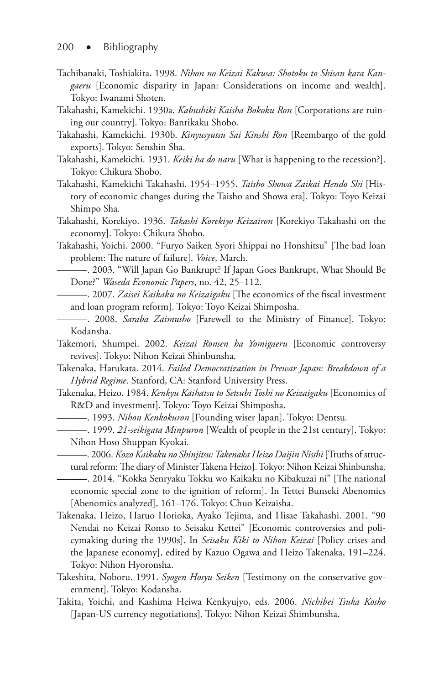- Tachibanaki, Toshiakira. 1998. *Nihon no Keizai Kakusa: Shotoku to Shisan kara Kangaeru* [Economic disparity in Japan: Considerations on income and wealth]. Tokyo: Iwanami Shoten.
- Takahashi, Kamekichi. 1930a. *Kabushiki Kaisha Bokoku Ron* [Corporations are ruining our country]. Tokyo: Banrikaku Shobo.
- Takahashi, Kamekichi. 1930b. *Kinyusyutsu Sai Kinshi Ron* [Reembargo of the gold exports]. Tokyo: Senshin Sha.
- Takahashi, Kamekichi. 1931. *Keiki ha do naru* [What is happening to the recession?]. Tokyo: Chikura Shobo.
- Takahashi, Kamekichi Takahashi. 1954–1955. *Taisho Showa Zaikai Hendo Shi* [History of economic changes during the Taisho and Showa era]. Tokyo: Toyo Keizai Shimpo Sha.
- Takahashi, Korekiyo. 1936. *Takashi Korekiyo Keizairon* [Korekiyo Takahashi on the economy]. Tokyo: Chikura Shobo.
- Takahashi, Yoichi. 2000. "Furyo Saiken Syori Shippai no Honshitsu" [The bad loan problem: The nature of failure]. *Voice*, March.
- ———. 2003. "Will Japan Go Bankrupt? If Japan Goes Bankrupt, What Should Be Done?" *Waseda Economic Papers*, no. 42, 25–112.
	- ———. 2007. *Zaisei Kaikaku no Keizaigaku* [The economics of the fiscal investment and loan program reform]. Tokyo: Toyo Keizai Shimposha.
- ———. 2008. *Saraba Zaimusho* [Farewell to the Ministry of Finance]. Tokyo: Kodansha.
- Takemori, Shumpei. 2002. *Keizai Ronsen ha Yomigaeru* [Economic controversy revives]. Tokyo: Nihon Keizai Shinbunsha.
- Takenaka, Harukata. 2014. *Failed Democratization in Prewar Japan: Breakdown of a Hybrid Regime*. Stanford, CA: Stanford University Press.
- Takenaka, Heizo. 1984. *Kenkyu Kaihatsu to Setsubi Toshi no Keizaigaku* [Economics of R&D and investment]. Tokyo: Toyo Keizai Shimposha.
	- ———. 1993. *Nihon Kenkokuron* [Founding wiser Japan]. Tokyo: Dentsu*.*
- ———. 1999. *21-seikigata Minpuron* [Wealth of people in the 21st century]. Tokyo: Nihon Hoso Shuppan Kyokai.
	- ———. 2006. *Kozo Kaikaku no Shinjitsu: Takenaka Heizo Daijin Nisshi* [Truths of structural reform: The diary of Minister Takena Heizo]. Tokyo: Nihon Keizai Shinbunsha.

———. 2014. "Kokka Senryaku Tokku wo Kaikaku no Kibakuzai ni" [The national economic special zone to the ignition of reform]. In Tettei Bunseki Abenomics [Abenomics analyzed], 161–176. Tokyo: Chuo Keizaisha.

- Takenaka, Heizo, Haruo Horioka, Ayako Tejima, and Hisae Takahashi. 2001. "90 Nendai no Keizai Ronso to Seisaku Kettei" [Economic controversies and policymaking during the 1990s]. In *Seisaku Kiki to Nihon Keizai* [Policy crises and the Japanese economy], edited by Kazuo Ogawa and Heizo Takenaka, 191–224. Tokyo: Nihon Hyoronsha.
- Takeshita, Noboru. 1991. *Syogen Hosyu Seiken* [Testimony on the conservative government]. Tokyo: Kodansha.
- Takita, Yoichi, and Kashima Heiwa Kenkyujyo, eds. 2006. *Nichibei Tsuka Kosho*  [Japan-US currency negotiations]. Tokyo: Nihon Keizai Shimbunsha.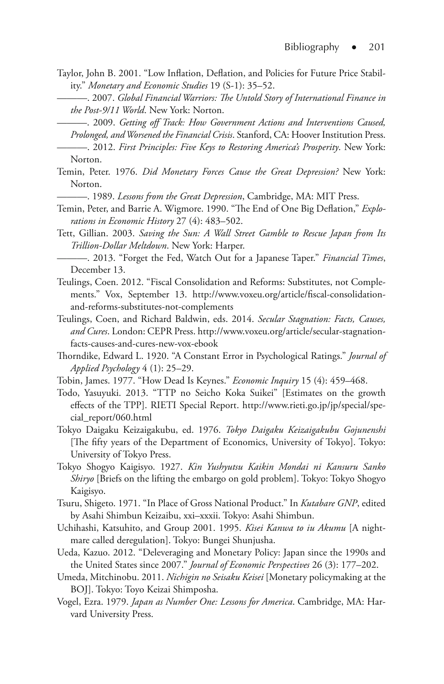- Taylor, John B. 2001. "Low Inflation, Deflation, and Policies for Future Price Stability." *Monetary and Economic Studies* 19 (S-1): 35–52.
	- ———. 2007. *Global Financial Warriors: The Untold Story of International Finance in the Post-9/11 World*. New York: Norton.

———. 2009. *Getting off Track: How Government Actions and Interventions Caused, Prolonged, and Worsened the Financial Crisis*. Stanford, CA: Hoover Institution Press.

- ———. 2012. *First Principles: Five Keys to Restoring America's Prosperity*. New York: Norton.
- Temin, Peter. 1976. *Did Monetary Forces Cause the Great Depression?* New York: Norton.

———. 1989. *Lessons from the Great Depression*, Cambridge, MA: MIT Press.

- Temin, Peter, and Barrie A. Wigmore. 1990. "The End of One Big Deflation," *Explorations in Economic History* 27 (4): 483–502.
- Tett, Gillian. 2003. *Saving the Sun: A Wall Street Gamble to Rescue Japan from Its Trillion-Dollar Meltdown*. New York: Harper.
- ———. 2013. "Forget the Fed, Watch Out for a Japanese Taper." *Financial Times*, December 13.
- Teulings, Coen. 2012. "Fiscal Consolidation and Reforms: Substitutes, not Complements." Vox, September 13. http://www.voxeu.org/article/fiscal-consolidationand-reforms-substitutes-not-complements
- Teulings, Coen, and Richard Baldwin, eds. 2014. *Secular Stagnation: Facts, Causes, and Cures*. London: CEPR Press. http://www.voxeu.org/article/secular-stagnationfacts-causes-and-cures-new-vox-ebook
- Thorndike, Edward L. 1920. "A Constant Error in Psychological Ratings." *Journal of Applied Psychology* 4 (1): 25–29.
- Tobin, James. 1977. "How Dead Is Keynes." *Economic Inquiry* 15 (4): 459–468.
- Todo, Yasuyuki. 2013. "TTP no Seicho Koka Suikei" [Estimates on the growth effects of the TPP]. RIETI Special Report. http://www.rieti.go.jp/jp/special/special\_report/060.html
- Tokyo Daigaku Keizaigakubu, ed. 1976. *Tokyo Daigaku Keizaigakubu Gojunenshi* [The fifty years of the Department of Economics, University of Tokyo]. Tokyo: University of Tokyo Press.
- Tokyo Shogyo Kaigisyo. 1927. *Kin Yushyutsu Kaikin Mondai ni Kansuru Sanko Shiryo* [Briefs on the lifting the embargo on gold problem]. Tokyo: Tokyo Shogyo Kaigisyo.
- Tsuru, Shigeto. 1971. "In Place of Gross National Product." In *Kutabare GNP*, edited by Asahi Shimbun Keizaibu, xxi–xxxii. Tokyo: Asahi Shimbun.
- Uchihashi, Katsuhito, and Group 2001. 1995. *Kisei Kanwa to iu Akumu* [A nightmare called deregulation]. Tokyo: Bungei Shunjusha.
- Ueda, Kazuo. 2012. "Deleveraging and Monetary Policy: Japan since the 1990s and the United States since 2007." *Journal of Economic Perspectives* 26 (3): 177–202.
- Umeda, Mitchinobu. 2011. *Nichigin no Seisaku Keisei* [Monetary policymaking at the BOJ]. Tokyo: Toyo Keizai Shimposha.
- Vogel, Ezra. 1979. *Japan as Number One: Lessons for America*. Cambridge, MA: Harvard University Press.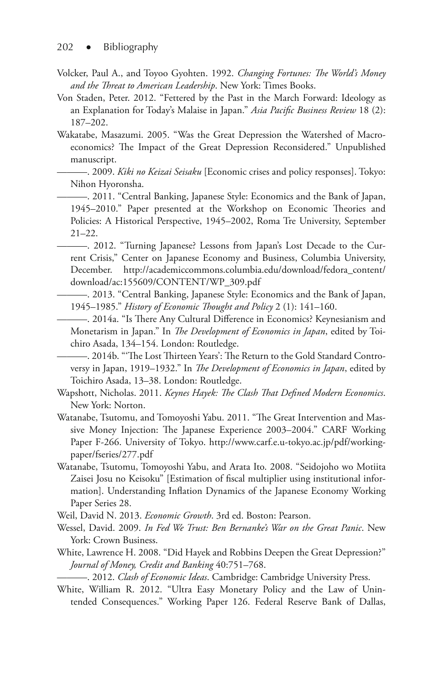- Volcker, Paul A., and Toyoo Gyohten. 1992. *Changing Fortunes: The World's Money and the Threat to American Leadership*. New York: Times Books.
- Von Staden, Peter. 2012. "Fettered by the Past in the March Forward: Ideology as an Explanation for Today's Malaise in Japan." *Asia Pacific Business Review* 18 (2): 187–202.
- Wakatabe, Masazumi. 2005. "Was the Great Depression the Watershed of Macroeconomics? The Impact of the Great Depression Reconsidered." Unpublished manuscript.
	- ———. 2009. *Kiki no Keizai Seisaku* [Economic crises and policy responses]. Tokyo: Nihon Hyoronsha.
		- ———. 2011. "Central Banking, Japanese Style: Economics and the Bank of Japan, 1945–2010." Paper presented at the Workshop on Economic Theories and Policies: A Historical Perspective, 1945–2002, Roma Tre University, September 21–22.
	- ———. 2012. "Turning Japanese? Lessons from Japan's Lost Decade to the Current Crisis," Center on Japanese Economy and Business, Columbia University, December. http://academiccommons.columbia.edu/download/fedora\_content/ download/ac:155609/CONTENT/WP\_309.pdf
		- ———. 2013. "Central Banking, Japanese Style: Economics and the Bank of Japan, 1945–1985." *History of Economic Thought and Policy* 2 (1): 141–160.
		- ———. 2014a. "Is There Any Cultural Difference in Economics? Keynesianism and Monetarism in Japan." In *The Development of Economics in Japan*, edited by Toichiro Asada, 134–154. London: Routledge.

———. 2014b. "'The Lost Thirteen Years': The Return to the Gold Standard Controversy in Japan, 1919–1932." In *The Development of Economics in Japan*, edited by Toichiro Asada, 13–38. London: Routledge.

- Wapshott, Nicholas. 2011. *Keynes Hayek: The Clash That Defined Modern Economics*. New York: Norton.
- Watanabe, Tsutomu, and Tomoyoshi Yabu. 2011. "The Great Intervention and Massive Money Injection: The Japanese Experience 2003–2004." CARF Working Paper F-266. University of Tokyo. http://www.carf.e.u-tokyo.ac.jp/pdf/workingpaper/fseries/277.pdf
- Watanabe, Tsutomu, Tomoyoshi Yabu, and Arata Ito. 2008. "Seidojoho wo Motiita Zaisei Josu no Keisoku" [Estimation of fiscal multiplier using institutional information]. Understanding Inflation Dynamics of the Japanese Economy Working Paper Series 28.
- Weil, David N. 2013. *Economic Growth*. 3rd ed. Boston: Pearson.
- Wessel, David. 2009. *In Fed We Trust: Ben Bernanke's War on the Great Panic*. New York: Crown Business.
- White, Lawrence H. 2008. "Did Hayek and Robbins Deepen the Great Depression?" *Journal of Money, Credit and Banking* 40:751–768.

———. 2012. *Clash of Economic Ideas*. Cambridge: Cambridge University Press.

White, William R. 2012. "Ultra Easy Monetary Policy and the Law of Unintended Consequences." Working Paper 126. Federal Reserve Bank of Dallas,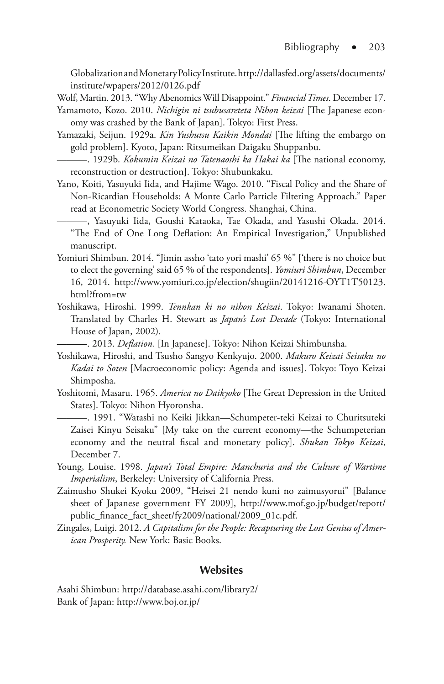Globalization and Monetary Policy Institute. http://dallasfed.org/assets/documents/ institute/wpapers/2012/0126.pdf

Wolf, Martin. 2013. "Why Abenomics Will Disappoint." *Financial Times*. December 17.

- Yamamoto, Kozo. 2010. *Nichigin ni tsubusareteta Nihon keizai* [The Japanese economy was crashed by the Bank of Japan]. Tokyo: First Press.
- Yamazaki, Seijun. 1929a. *Kin Yushutsu Kaikin Mondai* [The lifting the embargo on gold problem]. Kyoto, Japan: Ritsumeikan Daigaku Shuppanbu.
- ———. 1929b. *Kokumin Keizai no Tatenaoshi ka Hakai ka* [The national economy, reconstruction or destruction]. Tokyo: Shubunkaku.
- Yano, Koiti, Yasuyuki Iida, and Hajime Wago. 2010. "Fiscal Policy and the Share of Non-Ricardian Households: A Monte Carlo Particle Filtering Approach." Paper read at Econometric Society World Congress. Shanghai, China.

———, Yasuyuki Iida, Goushi Kataoka, Tae Okada, and Yasushi Okada. 2014. "The End of One Long Deflation: An Empirical Investigation," Unpublished manuscript.

- Yomiuri Shimbun. 2014. "Jimin assho 'tato yori mashi' 65 %" ['there is no choice but to elect the governing' said 65 % of the respondents]. *Yomiuri Shimbun*, December 16, 2014. http://www.yomiuri.co.jp/election/shugiin/20141216-OYT1T50123. html?from=tw
- Yoshikawa, Hiroshi. 1999. *Tennkan ki no nihon Keizai*. Tokyo: Iwanami Shoten. Translated by Charles H. Stewart as *Japan's Lost Decade* (Tokyo: International House of Japan, 2002).

———. 2013. *Deflation.* [In Japanese]. Tokyo: Nihon Keizai Shimbunsha.

- Yoshikawa, Hiroshi, and Tsusho Sangyo Kenkyujo. 2000. *Makuro Keizai Seisaku no Kadai to Soten* [Macroeconomic policy: Agenda and issues]. Tokyo: Toyo Keizai Shimposha.
- Yoshitomi, Masaru. 1965. *America no Daikyoko* [The Great Depression in the United States]. Tokyo: Nihon Hyoronsha.

———. 1991. "Watashi no Keiki Jikkan—Schumpeter-teki Keizai to Churitsuteki Zaisei Kinyu Seisaku" [My take on the current economy—the Schumpeterian economy and the neutral fiscal and monetary policy]. *Shukan Tokyo Keizai*, December 7.

- Young, Louise. 1998. *Japan's Total Empire: Manchuria and the Culture of Wartime Imperialism*, Berkeley: University of California Press.
- Zaimusho Shukei Kyoku 2009, "Heisei 21 nendo kuni no zaimusyorui" [Balance sheet of Japanese government FY 2009], http://www.mof.go.jp/budget/report/ public\_finance\_fact\_sheet/fy2009/national/2009\_01c.pdf.
- Zingales, Luigi. 2012. *A Capitalism for the People: Recapturing the Lost Genius of American Prosperity.* New York: Basic Books.

#### **Websites**

Asahi Shimbun: http://database.asahi.com/library2/ Bank of Japan: http://www.boj.or.jp/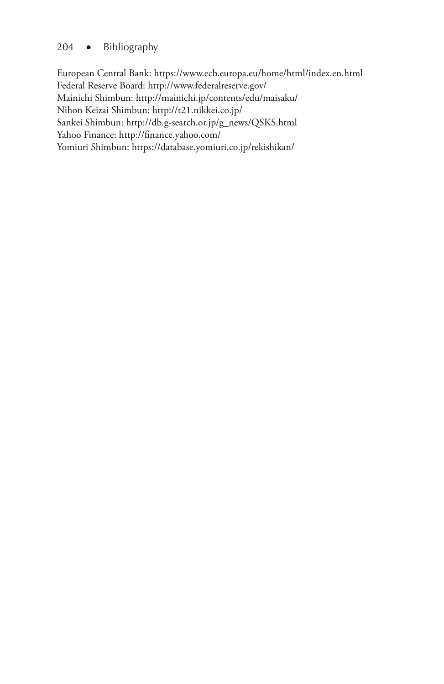#### 204 ● Bibliography

European Central Bank: https://www.ecb.europa.eu/home/html/index.en.html Federal Reserve Board: http://www.federalreserve.gov/ Mainichi Shimbun: http://mainichi.jp/contents/edu/maisaku/ Nihon Keizai Shimbun: http://t21.nikkei.co.jp/ Sankei Shimbun: http://db.g-search.or.jp/g\_news/QSKS.html Yahoo Finance: http://finance.yahoo.com/ Yomiuri Shimbun: https://database.yomiuri.co.jp/rekishikan/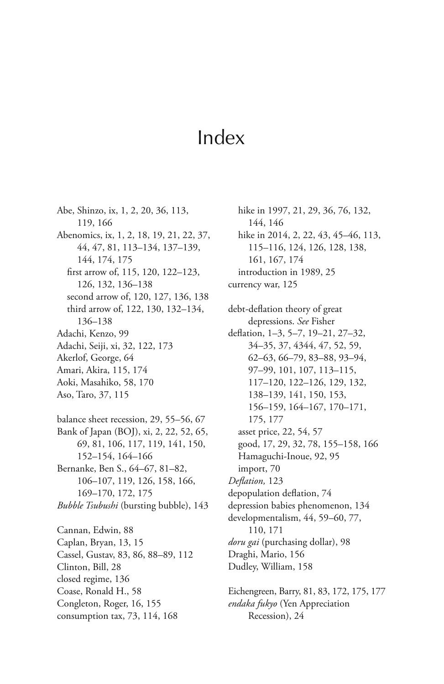# Index

Abe, Shinzo, ix, 1, 2, 20, 36, 113, 119, 166 Abenomics, ix, 1, 2, 18, 19, 21, 22, 37, 44, 47, 81, 113–134, 137–139, 144, 174, 175 first arrow of, 115, 120, 122–123, 126, 132, 136–138 second arrow of, 120, 127, 136, 138 third arrow of, 122, 130, 132–134, 136–138 Adachi, Kenzo, 99 Adachi, Seiji, xi, 32, 122, 173 Akerlof, George, 64 Amari, Akira, 115, 174 Aoki, Masahiko, 58, 170

Aso, Taro, 37, 115

balance sheet recession, 29, 55–56, 67 Bank of Japan (BOJ), xi, 2, 22, 52, 65, 69, 81, 106, 117, 119, 141, 150, 152–154, 164–166 Bernanke, Ben S., 64–67, 81–82, 106–107, 119, 126, 158, 166, 169–170, 172, 175 *Bubble Tsubushi* (bursting bubble), 143

Cannan, Edwin, 88 Caplan, Bryan, 13, 15 Cassel, Gustav, 83, 86, 88–89, 112 Clinton, Bill, 28 closed regime, 136 Coase, Ronald H., 58 Congleton, Roger, 16, 155 consumption tax, 73, 114, 168

hike in 1997, 21, 29, 36, 76, 132, 144, 146 hike in 2014, 2, 22, 43, 45–46, 113, 115–116, 124, 126, 128, 138, 161, 167, 174 introduction in 1989, 25 currency war, 125

debt-deflation theory of great depressions. *See* Fisher deflation, 1–3, 5–7, 19–21, 27–32, 34–35, 37, 4344, 47, 52, 59, 62–63, 66–79, 83–88, 93–94, 97–99, 101, 107, 113–115, 117–120, 122–126, 129, 132, 138–139, 141, 150, 153, 156–159, 164–167, 170–171, 175, 177 asset price, 22, 54, 57 good, 17, 29, 32, 78, 155–158, 166 Hamaguchi-Inoue, 92, 95 import, 70 *Deflation,* 123 depopulation deflation, 74 depression babies phenomenon, 134 developmentalism, 44, 59–60, 77, 110, 171 *doru gai* (purchasing dollar), 98 Draghi, Mario, 156 Dudley, William, 158

Eichengreen, Barry, 81, 83, 172, 175, 177 *endaka fukyo* (Yen Appreciation Recession), 24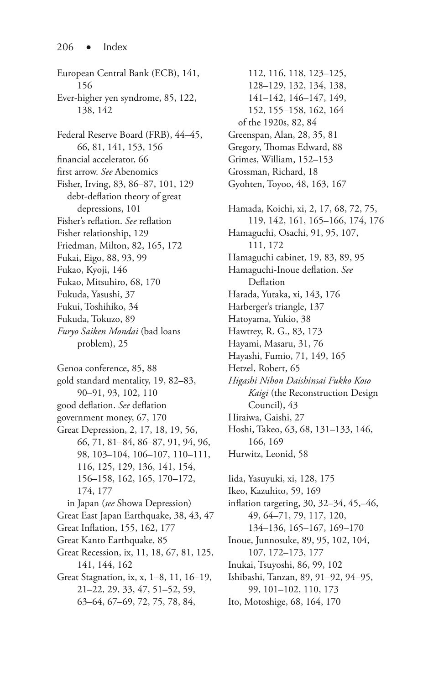European Central Bank (ECB), 141, 156 Ever-higher yen syndrome, 85, 122, 138, 142 Federal Reserve Board (FRB), 44–45, 66, 81, 141, 153, 156 financial accelerator, 66 first arrow. *See* Abenomics Fisher, Irving, 83, 86–87, 101, 129 debt-deflation theory of great depressions, 101 Fisher's reflation. *See* reflation Fisher relationship, 129 Friedman, Milton, 82, 165, 172 Fukai, Eigo, 88, 93, 99 Fukao, Kyoji, 146 Fukao, Mitsuhiro, 68, 170 Fukuda, Yasushi, 37 Fukui, Toshihiko, 34 Fukuda, Tokuzo, 89 *Furyo Saiken Mondai* (bad loans problem), 25 Genoa conference, 85, 88 gold standard mentality, 19, 82–83, 90–91, 93, 102, 110 good deflation. *See* deflation government money, 67, 170 Great Depression, 2, 17, 18, 19, 56, 66, 71, 81–84, 86–87, 91, 94, 96, 98, 103–104, 106–107, 110–111, 116, 125, 129, 136, 141, 154, 156–158, 162, 165, 170–172, 174, 177 in Japan (*see* Showa Depression) Great East Japan Earthquake, 38, 43, 47 Great Inflation, 155, 162, 177

- Great Kanto Earthquake, 85
- Great Recession, ix, 11, 18, 67, 81, 125, 141, 144, 162
- Great Stagnation, ix, x, 1–8, 11, 16–19, 21–22, 29, 33, 47, 51–52, 59, 63–64, 67–69, 72, 75, 78, 84,

112, 116, 118, 123–125, 128–129, 132, 134, 138, 141–142, 146–147, 149, 152, 155–158, 162, 164 of the 1920s, 82, 84 Greenspan, Alan, 28, 35, 81 Gregory, Thomas Edward, 88 Grimes, William, 152–153 Grossman, Richard, 18 Gyohten, Toyoo, 48, 163, 167 Hamada, Koichi, xi, 2, 17, 68, 72, 75, 119, 142, 161, 165–166, 174, 176 Hamaguchi, Osachi, 91, 95, 107, 111, 172 Hamaguchi cabinet, 19, 83, 89, 95 Hamaguchi-Inoue deflation. *See* Deflation Harada, Yutaka, xi, 143, 176 Harberger's triangle, 137 Hatoyama, Yukio, 38 Hawtrey, R. G., 83, 173 Hayami, Masaru, 31, 76 Hayashi, Fumio, 71, 149, 165 Hetzel, Robert, 65 *Higashi Nihon Daishinsai Fukko Koso Kaigi* (the Reconstruction Design Council), 43 Hiraiwa, Gaishi, 27 Hoshi, Takeo, 63, 68, 131–133, 146, 166, 169 Hurwitz, Leonid, 58 Iida, Yasuyuki, xi, 128, 175

Ikeo, Kazuhito, 59, 169 inflation targeting, 30, 32–34, 45,–46, 49, 64–71, 79, 117, 120, 134–136, 165–167, 169–170 Inoue, Junnosuke, 89, 95, 102, 104, 107, 172–173, 177 Inukai, Tsuyoshi, 86, 99, 102 Ishibashi, Tanzan, 89, 91–92, 94–95, 99, 101–102, 110, 173

Ito, Motoshige, 68, 164, 170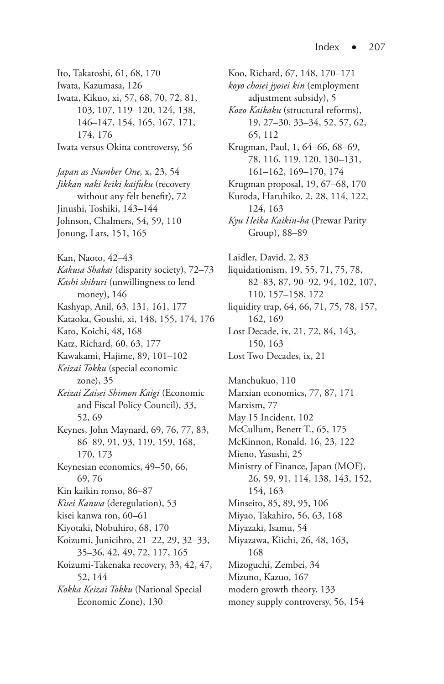- Ito, Takatoshi, 61, 68, 170 Iwata, Kazumasa, 126 Iwata, Kikuo, xi, 57, 68, 70, 72, 81, 103, 107, 119–120, 124, 138, 146–147, 154, 165, 167, 171, 174, 176 Iwata versus Okina controversy, 56 *Japan as Number One,* x, 23, 54 *Jikkan naki keiki kaifuku* (recovery
- without any felt benefit), 72 Jinushi, Toshiki, 143–144 Johnson, Chalmers, 54, 59, 110 Jonung, Lars, 151, 165
- Kan, Naoto, 42–43 *Kakusa Shakai* (disparity society), 72–73 *Kashi shiburi* (unwillingness to lend money), 146 Kashyap, Anil, 63, 131, 161, 177 Kataoka, Goushi, xi, 148, 155, 174, 176 Kato, Koichi, 48, 168 Katz, Richard, 60, 63, 177 Kawakami, Hajime, 89, 101–102 *Keizai Tokku* (special economic zone), 35 *Keizai Zaisei Shimon Kaigi* (Economic and Fiscal Policy Council), 33, 52, 69 Keynes, John Maynard, 69, 76, 77, 83, 86–89, 91, 93, 119, 159, 168, 170, 173 Keynesian economics, 49–50, 66, 69, 76 Kin kaikin ronso, 86–87 *Kisei Kanwa* (deregulation), 53 kisei kanwa ron, 60–61 Kiyotaki, Nobuhiro, 68, 170 Koizumi, Junicihro, 21–22, 29, 32–33, 35–36, 42, 49, 72, 117, 165
- Koizumi-Takenaka recovery, 33, 42, 47, 52, 144 *Kokka Keizai Tokku* (National Special
	- Economic Zone), 130

Koo, Richard, 67, 148, 170–171 *koyo chosei jyosei kin* (employment adjustment subsidy), 5 *Kozo Kaikaku* (structural reforms), 19, 27–30, 33–34, 52, 57, 62, 65, 112 Krugman, Paul, 1, 64–66, 68–69, 78, 116, 119, 120, 130–131, 161–162, 169–170, 174 Krugman proposal, 19, 67–68, 170 Kuroda, Haruhiko, 2, 28, 114, 122, 124, 163 *Kyu Heika Kaikin-ha* (Prewar Parity Group), 88–89 Laidler, David, 2, 83 liquidationism, 19, 55, 71, 75, 78, 82–83, 87, 90–92, 94, 102, 107, 110, 157–158, 172 liquidity trap, 64, 66, 71, 75, 78, 157, 162, 169 Lost Decade, ix, 21, 72, 84, 143, 150, 163 Lost Two Decades, ix, 21

Manchukuo, 110 Marxian economics, 77, 87, 171 Marxism, 77 May 15 Incident, 102 McCullum, Benett T., 65, 175 McKinnon, Ronald, 16, 23, 122 Mieno, Yasushi, 25 Ministry of Finance, Japan (MOF), 26, 59, 91, 114, 138, 143, 152, 154, 163 Minseito, 85, 89, 95, 106 Miyao, Takahiro, 56, 63, 168 Miyazaki, Isamu, 54 Miyazawa, Kiichi, 26, 48, 163, 168 Mizoguchi, Zembei, 34 Mizuno, Kazuo, 167 modern growth theory, 133 money supply controversy, 56, 154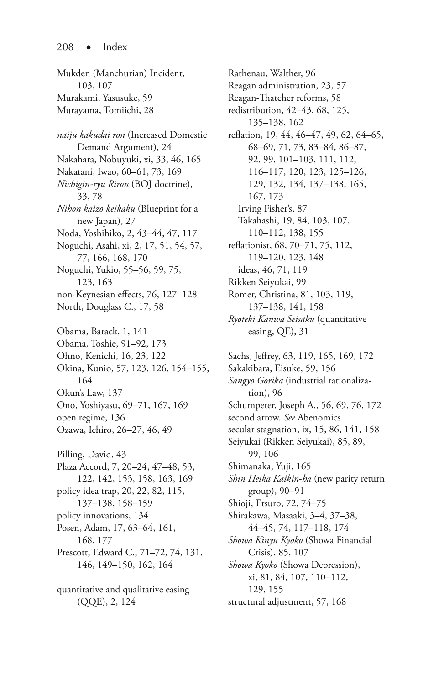Mukden (Manchurian) Incident, 103, 107 Murakami, Yasusuke, 59 Murayama, Tomiichi, 28 *naiju kakudai ron* (Increased Domestic Demand Argument), 24 Nakahara, Nobuyuki, xi, 33, 46, 165 Nakatani, Iwao, 60–61, 73, 169 *Nichigin-ryu Riron* (BOJ doctrine), 33, 78 *Nihon kaizo keikaku* (Blueprint for a new Japan), 27 Noda, Yoshihiko, 2, 43–44, 47, 117 Noguchi, Asahi, xi, 2, 17, 51, 54, 57, 77, 166, 168, 170 Noguchi, Yukio, 55–56, 59, 75, 123, 163 non-Keynesian effects, 76, 127–128 North, Douglass C., 17, 58 Obama, Barack, 1, 141 Obama, Toshie, 91–92, 173 Ohno, Kenichi, 16, 23, 122 Okina, Kunio, 57, 123, 126, 154–155, 164 Okun's Law, 137 Ono, Yoshiyasu, 69–71, 167, 169 open regime, 136 Ozawa, Ichiro, 26–27, 46, 49 Pilling, David, 43 Plaza Accord, 7, 20–24, 47–48, 53, 122, 142, 153, 158, 163, 169 policy idea trap, 20, 22, 82, 115, 137–138, 158–159 policy innovations, 134 Posen, Adam, 17, 63–64, 161, 168, 177 Prescott, Edward C., 71–72, 74, 131, 146, 149–150, 162, 164 quantitative and qualitative easing (QQE), 2, 124

Rathenau, Walther, 96 Reagan administration, 23, 57 Reagan-Thatcher reforms, 58 redistribution, 42–43, 68, 125, 135–138, 162 reflation, 19, 44, 46–47, 49, 62, 64–65, 68–69, 71, 73, 83–84, 86–87, 92, 99, 101–103, 111, 112, 116–117, 120, 123, 125–126, 129, 132, 134, 137–138, 165, 167, 173 Irving Fisher's, 87 Takahashi, 19, 84, 103, 107, 110–112, 138, 155 reflationist, 68, 70–71, 75, 112, 119–120, 123, 148 ideas, 46, 71, 119 Rikken Seiyukai, 99 Romer, Christina, 81, 103, 119, 137–138, 141, 158 *Ryoteki Kanwa Seisaku* (quantitative

Sachs, Jeffrey, 63, 119, 165, 169, 172 Sakakibara, Eisuke, 59, 156 *Sangyo Gorika* (industrial rationalization), 96 Schumpeter, Joseph A., 56, 69, 76, 172 second arrow. *See* Abenomics secular stagnation, ix, 15, 86, 141, 158 Seiyukai (Rikken Seiyukai), 85, 89, 99, 106 Shimanaka, Yuji, 165 *Shin Heika Kaikin-ha* (new parity return group), 90–91 Shioji, Etsuro, 72, 74–75 Shirakawa, Masaaki, 3–4, 37–38, 44–45, 74, 117–118, 174 *Showa Kinyu Kyoko* (Showa Financial Crisis), 85, 107 *Showa Kyoko* (Showa Depression), xi, 81, 84, 107, 110–112, 129, 155

easing, QE), 31

```
structural adjustment, 57, 168
```